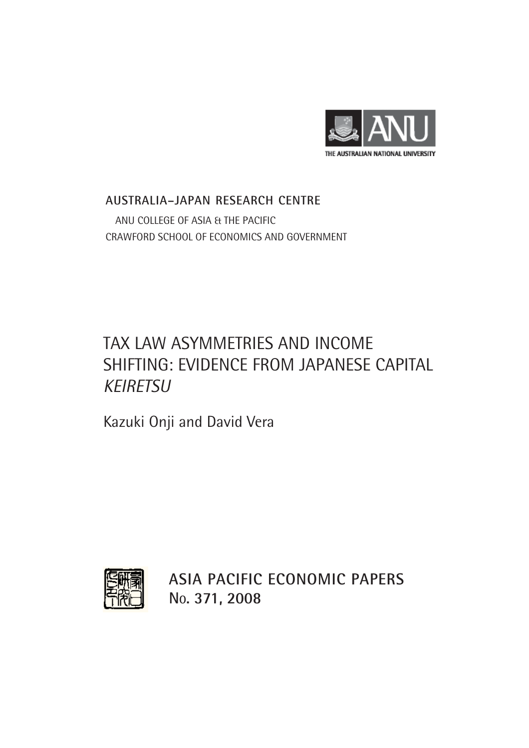

### **AUSTRALIA–JAPAN RESEARCH CENTRE** ANU COLLEGE OF ASIA & THE PACIFIC CRAWFORD SCHOOL OF ECONOMICS AND GOVERNMENT

## TAX LAW ASYMMETRIES AND INCOME SHIFTING: EVIDENCE FROM JAPANESE CAPITAL *KEIRETSU*

Kazuki Onji and David Vera



**ASIA PACIFIC ECONOMIC PAPERS NO. 371, 2008**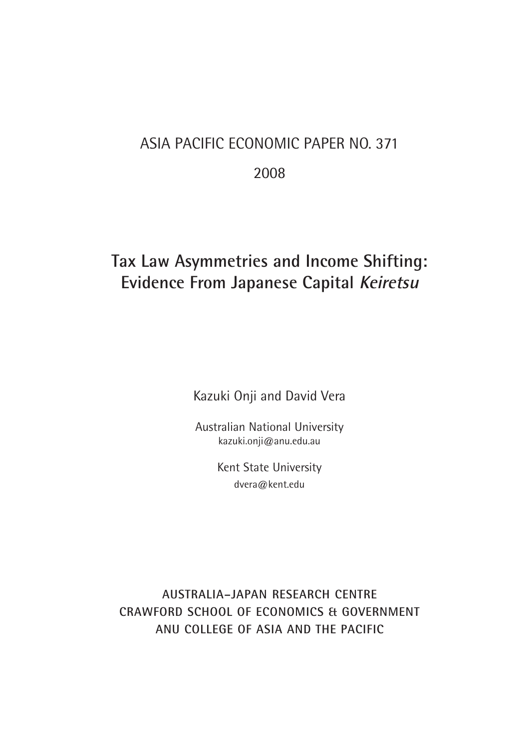# ASIA PACIFIC ECONOMIC PAPER NO. 371 2008

## **Tax Law Asymmetries and Income Shifting: Evidence From Japanese Capital Keiretsu**

Kazuki Onji and David Vera

Australian National University kazuki.onji@anu.edu.au

> Kent State University dvera@kent.edu

**AUSTRALIA–JAPAN RESEARCH CENTRE CRAWFORD SCHOOL OF ECONOMICS & GOVERNMENT ANU COLLEGE OF ASIA AND THE PACIFIC**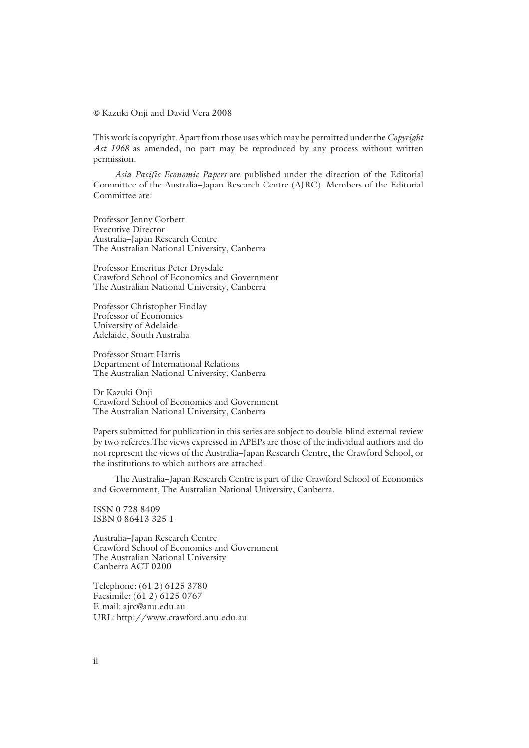**©** Kazuki Onji and David Vera 2008

This work is copyright. Apart from those uses which may be permitted under the *Copyright Act 1968* as amended, no part may be reproduced by any process without written permission.

*Asia Pacific Economic Papers* are published under the direction of the Editorial Committee of the Australia–Japan Research Centre (AJRC). Members of the Editorial Committee are:

Professor Jenny Corbett Executive Director Australia–Japan Research Centre The Australian National University, Canberra

Professor Emeritus Peter Drysdale Crawford School of Economics and Government The Australian National University, Canberra

Professor Christopher Findlay Professor of Economics University of Adelaide Adelaide, South Australia

Professor Stuart Harris Department of International Relations The Australian National University, Canberra

Dr Kazuki Onji Crawford School of Economics and Government The Australian National University, Canberra

Papers submitted for publication in this series are subject to double-blind external review by two referees.The views expressed in APEPs are those of the individual authors and do not represent the views of the Australia–Japan Research Centre, the Crawford School, or the institutions to which authors are attached.

The Australia–Japan Research Centre is part of the Crawford School of Economics and Government, The Australian National University, Canberra.

ISSN 0 728 8409 ISBN 0 86413 325 1

Australia–Japan Research Centre Crawford School of Economics and Government The Australian National University Canberra ACT 0200

Telephone: (61 2) 6125 3780 Facsimile: (61 2) 6125 0767 E-mail: ajrc@anu.edu.au URL: http://www.crawford.anu.edu.au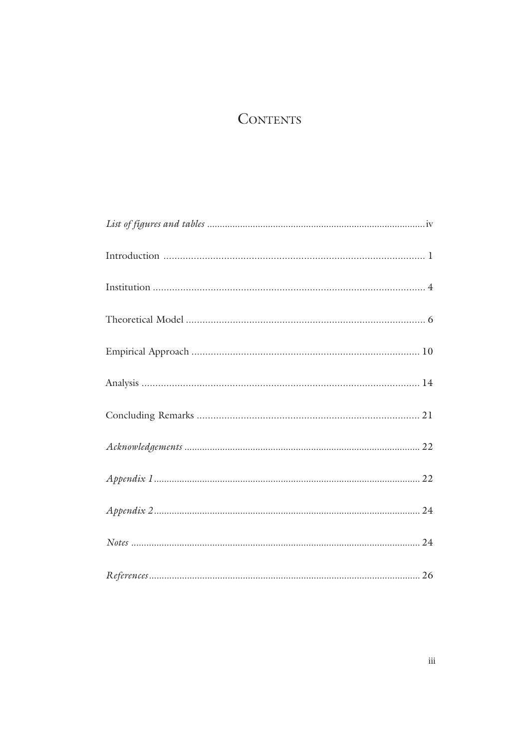## **CONTENTS**

| $References \dots 26$ |
|-----------------------|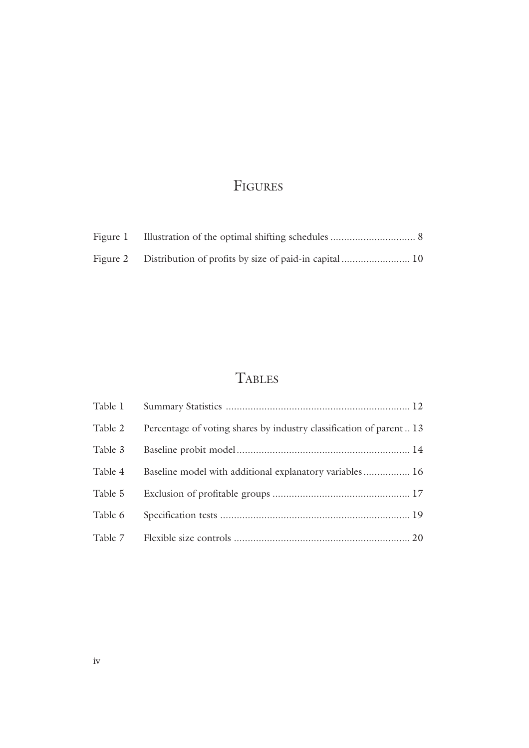## FIGURES

## **TABLES**

| Table 1 |                                                                    |
|---------|--------------------------------------------------------------------|
| Table 2 | Percentage of voting shares by industry classification of parent13 |
| Table 3 |                                                                    |
| Table 4 | Baseline model with additional explanatory variables 16            |
| Table 5 |                                                                    |
| Table 6 |                                                                    |
| Table 7 |                                                                    |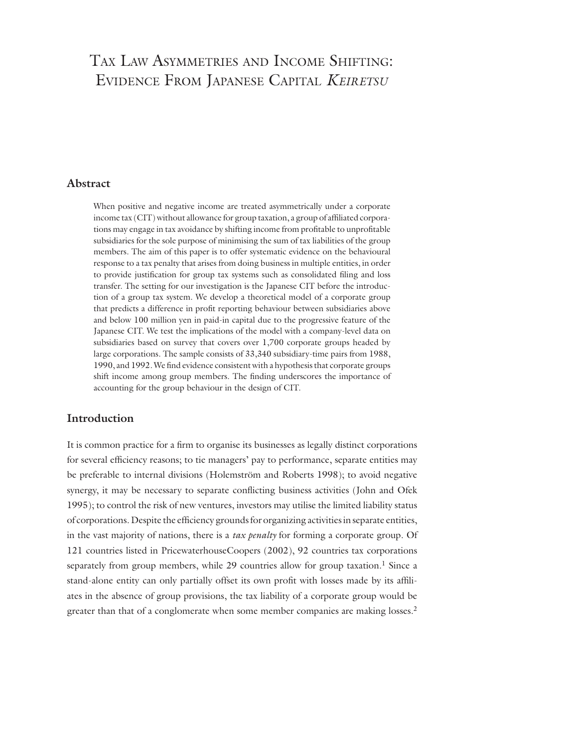### TAX LAW ASYMMETRIES AND INCOME SHIFTING: EVIDENCE FROM JAPANESE CAPITAL *KEIRETSU*

#### **Abstract**

When positive and negative income are treated asymmetrically under a corporate income tax (CIT) without allowance for group taxation, a group of affiliated corporations may engage in tax avoidance by shifting income from profitable to unprofitable subsidiaries for the sole purpose of minimising the sum of tax liabilities of the group members. The aim of this paper is to offer systematic evidence on the behavioural response to a tax penalty that arises from doing business in multiple entities, in order to provide justification for group tax systems such as consolidated filing and loss transfer. The setting for our investigation is the Japanese CIT before the introduction of a group tax system. We develop a theoretical model of a corporate group that predicts a difference in profi t reporting behaviour between subsidiaries above and below 100 million yen in paid-in capital due to the progressive feature of the Japanese CIT. We test the implications of the model with a company-level data on subsidiaries based on survey that covers over 1,700 corporate groups headed by large corporations. The sample consists of 33,340 subsidiary-time pairs from 1988, 1990, and 1992. We find evidence consistent with a hypothesis that corporate groups shift income among group members. The finding underscores the importance of accounting for the group behaviour in the design of CIT.

#### **Introduction**

It is common practice for a firm to organise its businesses as legally distinct corporations for several efficiency reasons; to tie managers' pay to performance, separate entities may be preferable to internal divisions (Holemström and Roberts 1998); to avoid negative synergy, it may be necessary to separate conflicting business activities (John and Ofek 1995); to control the risk of new ventures, investors may utilise the limited liability status of corporations. Despite the efficiency grounds for organizing activities in separate entities, in the vast majority of nations, there is a *tax penalty* for forming a corporate group. Of 121 countries listed in PricewaterhouseCoopers (2002), 92 countries tax corporations separately from group members, while  $29$  countries allow for group taxation.<sup>1</sup> Since a stand-alone entity can only partially offset its own profit with losses made by its affiliates in the absence of group provisions, the tax liability of a corporate group would be greater than that of a conglomerate when some member companies are making losses.<sup>2</sup>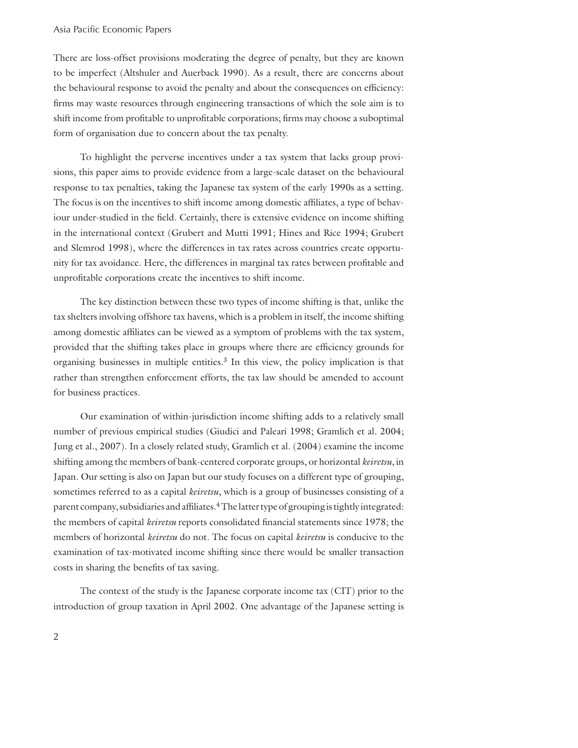#### Asia Pacific Economic Papers

There are loss-offset provisions moderating the degree of penalty, but they are known to be imperfect (Altshuler and Auerback 1990). As a result, there are concerns about the behavioural response to avoid the penalty and about the consequences on efficiency: firms may waste resources through engineering transactions of which the sole aim is to shift income from profitable to unprofitable corporations; firms may choose a suboptimal form of organisation due to concern about the tax penalty.

 To highlight the perverse incentives under a tax system that lacks group provisions, this paper aims to provide evidence from a large-scale dataset on the behavioural response to tax penalties, taking the Japanese tax system of the early 1990s as a setting. The focus is on the incentives to shift income among domestic affiliates, a type of behaviour under-studied in the field. Certainly, there is extensive evidence on income shifting in the international context (Grubert and Mutti 1991; Hines and Rice 1994; Grubert and Slemrod 1998), where the differences in tax rates across countries create opportunity for tax avoidance. Here, the differences in marginal tax rates between profitable and unprofitable corporations create the incentives to shift income.

 The key distinction between these two types of income shifting is that, unlike the tax shelters involving offshore tax havens, which is a problem in itself, the income shifting among domestic affiliates can be viewed as a symptom of problems with the tax system, provided that the shifting takes place in groups where there are efficiency grounds for organising businesses in multiple entities. $3$  In this view, the policy implication is that rather than strengthen enforcement efforts, the tax law should be amended to account for business practices.

 Our examination of within-jurisdiction income shifting adds to a relatively small number of previous empirical studies (Giudici and Paleari 1998; Gramlich et al. 2004; Jung et al., 2007). In a closely related study, Gramlich et al. (2004) examine the income shifting among the members of bank-centered corporate groups, or horizontal *keiretsu*, in Japan. Our setting is also on Japan but our study focuses on a different type of grouping, sometimes referred to as a capital *keiretsu*, which is a group of businesses consisting of a parent company, subsidiaries and affiliates.<sup>4</sup> The latter type of grouping is tightly integrated: the members of capital *keiretsu* reports consolidated financial statements since 1978; the members of horizontal *keiretsu* do not. The focus on capital *keiretsu* is conducive to the examination of tax-motivated income shifting since there would be smaller transaction costs in sharing the benefits of tax saving.

 The context of the study is the Japanese corporate income tax (CIT) prior to the introduction of group taxation in April 2002. One advantage of the Japanese setting is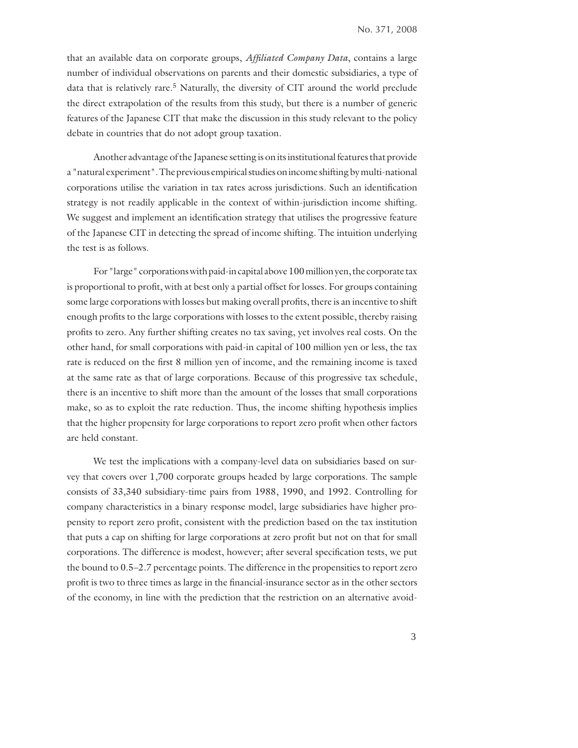that an available data on corporate groups, *Affi liated Company Data*, contains a large number of individual observations on parents and their domestic subsidiaries, a type of data that is relatively rare.<sup>5</sup> Naturally, the diversity of CIT around the world preclude the direct extrapolation of the results from this study, but there is a number of generic features of the Japanese CIT that make the discussion in this study relevant to the policy debate in countries that do not adopt group taxation.

 Another advantage of the Japanese setting is on its institutional features that provide a "natural experiment". The previous empirical studies on income shifting by multi-national corporations utilise the variation in tax rates across jurisdictions. Such an identification strategy is not readily applicable in the context of within-jurisdiction income shifting. We suggest and implement an identification strategy that utilises the progressive feature of the Japanese CIT in detecting the spread of income shifting. The intuition underlying the test is as follows.

 For "large" corporations with paid-in capital above 100 million yen, the corporate tax is proportional to profit, with at best only a partial offset for losses. For groups containing some large corporations with losses but making overall profits, there is an incentive to shift enough profits to the large corporations with losses to the extent possible, thereby raising profits to zero. Any further shifting creates no tax saving, yet involves real costs. On the other hand, for small corporations with paid-in capital of 100 million yen or less, the tax rate is reduced on the first 8 million yen of income, and the remaining income is taxed at the same rate as that of large corporations. Because of this progressive tax schedule, there is an incentive to shift more than the amount of the losses that small corporations make, so as to exploit the rate reduction. Thus, the income shifting hypothesis implies that the higher propensity for large corporations to report zero profit when other factors are held constant.

 We test the implications with a company-level data on subsidiaries based on survey that covers over 1,700 corporate groups headed by large corporations. The sample consists of 33,340 subsidiary-time pairs from 1988, 1990, and 1992. Controlling for company characteristics in a binary response model, large subsidiaries have higher propensity to report zero profit, consistent with the prediction based on the tax institution that puts a cap on shifting for large corporations at zero profit but not on that for small corporations. The difference is modest, however; after several specification tests, we put the bound to 0.5–2.7 percentage points. The difference in the propensities to report zero profit is two to three times as large in the financial-insurance sector as in the other sectors of the economy, in line with the prediction that the restriction on an alternative avoid-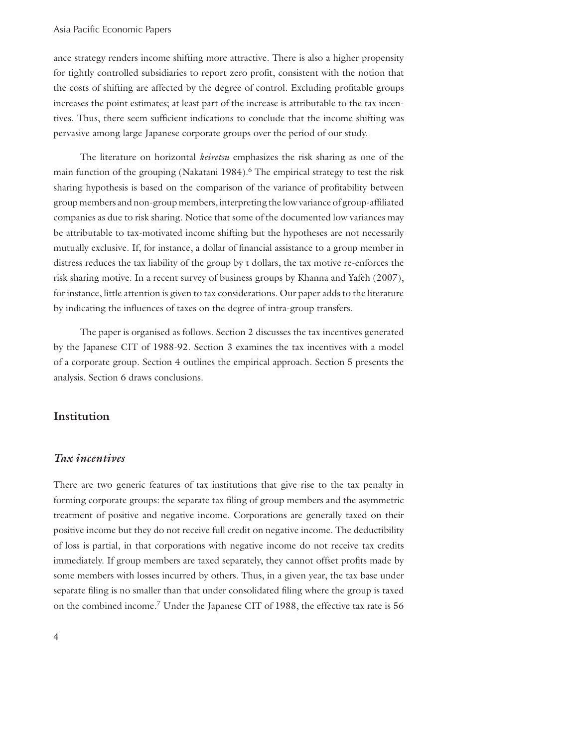#### Asia Pacific Economic Papers

ance strategy renders income shifting more attractive. There is also a higher propensity for tightly controlled subsidiaries to report zero profit, consistent with the notion that the costs of shifting are affected by the degree of control. Excluding profitable groups increases the point estimates; at least part of the increase is attributable to the tax incentives. Thus, there seem sufficient indications to conclude that the income shifting was pervasive among large Japanese corporate groups over the period of our study.

 The literature on horizontal *keiretsu* emphasizes the risk sharing as one of the main function of the grouping (Nakatani 1984).<sup>6</sup> The empirical strategy to test the risk sharing hypothesis is based on the comparison of the variance of profitability between group members and non-group members, interpreting the low variance of group-affiliated companies as due to risk sharing. Notice that some of the documented low variances may be attributable to tax-motivated income shifting but the hypotheses are not necessarily mutually exclusive. If, for instance, a dollar of financial assistance to a group member in distress reduces the tax liability of the group by t dollars, the tax motive re-enforces the risk sharing motive. In a recent survey of business groups by Khanna and Yafeh (2007), for instance, little attention is given to tax considerations. Our paper adds to the literature by indicating the influences of taxes on the degree of intra-group transfers.

 The paper is organised as follows. Section 2 discusses the tax incentives generated by the Japanese CIT of 1988-92. Section 3 examines the tax incentives with a model of a corporate group. Section 4 outlines the empirical approach. Section 5 presents the analysis. Section 6 draws conclusions.

#### **Institution**

#### *Tax incentives*

There are two generic features of tax institutions that give rise to the tax penalty in forming corporate groups: the separate tax filing of group members and the asymmetric treatment of positive and negative income. Corporations are generally taxed on their positive income but they do not receive full credit on negative income. The deductibility of loss is partial, in that corporations with negative income do not receive tax credits immediately. If group members are taxed separately, they cannot offset profits made by some members with losses incurred by others. Thus, in a given year, the tax base under separate filing is no smaller than that under consolidated filing where the group is taxed on the combined income.7 Under the Japanese CIT of 1988, the effective tax rate is 56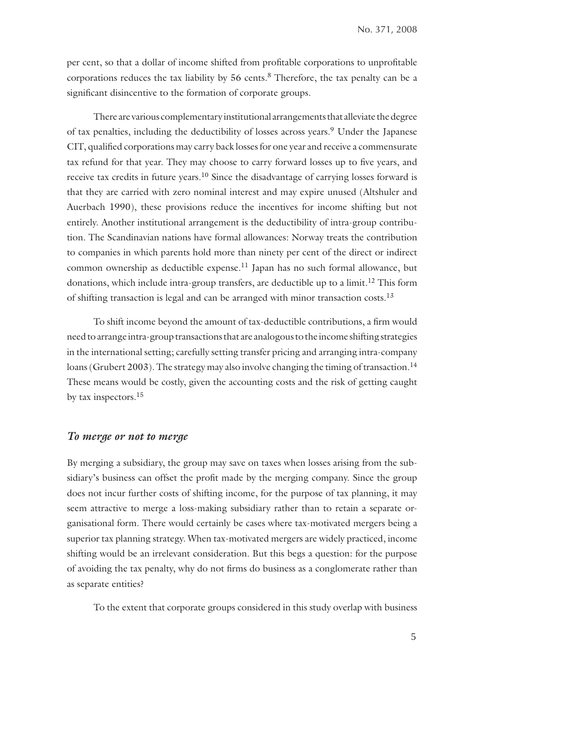per cent, so that a dollar of income shifted from profitable corporations to unprofitable corporations reduces the tax liability by 56 cents.<sup>8</sup> Therefore, the tax penalty can be a significant disincentive to the formation of corporate groups.

 There are various complementary institutional arrangements that alleviate the degree of tax penalties, including the deductibility of losses across years.9 Under the Japanese CIT, qualified corporations may carry back losses for one year and receive a commensurate tax refund for that year. They may choose to carry forward losses up to five years, and receive tax credits in future years.<sup>10</sup> Since the disadvantage of carrying losses forward is that they are carried with zero nominal interest and may expire unused (Altshuler and Auerbach 1990), these provisions reduce the incentives for income shifting but not entirely. Another institutional arrangement is the deductibility of intra-group contribution. The Scandinavian nations have formal allowances: Norway treats the contribution to companies in which parents hold more than ninety per cent of the direct or indirect common ownership as deductible expense.<sup>11</sup> Japan has no such formal allowance, but donations, which include intra-group transfers, are deductible up to a limit.<sup>12</sup> This form of shifting transaction is legal and can be arranged with minor transaction costs.13

To shift income beyond the amount of tax-deductible contributions, a firm would need to arrange intra-group transactions that are analogous to the income shifting strategies in the international setting; carefully setting transfer pricing and arranging intra-company loans (Grubert 2003). The strategy may also involve changing the timing of transaction.<sup>14</sup> These means would be costly, given the accounting costs and the risk of getting caught by tax inspectors.15

#### *To merge or not to merge*

By merging a subsidiary, the group may save on taxes when losses arising from the subsidiary's business can offset the profit made by the merging company. Since the group does not incur further costs of shifting income, for the purpose of tax planning, it may seem attractive to merge a loss-making subsidiary rather than to retain a separate organisational form. There would certainly be cases where tax-motivated mergers being a superior tax planning strategy. When tax-motivated mergers are widely practiced, income shifting would be an irrelevant consideration. But this begs a question: for the purpose of avoiding the tax penalty, why do not firms do business as a conglomerate rather than as separate entities?

To the extent that corporate groups considered in this study overlap with business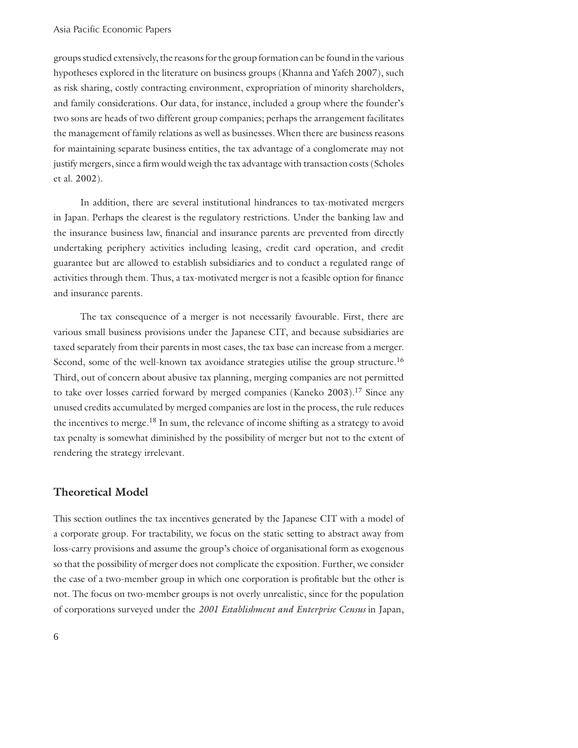groups studied extensively, the reasons for the group formation can be found in the various hypotheses explored in the literature on business groups (Khanna and Yafeh 2007), such as risk sharing, costly contracting environment, expropriation of minority shareholders, and family considerations. Our data, for instance, included a group where the founder's two sons are heads of two different group companies; perhaps the arrangement facilitates the management of family relations as well as businesses. When there are business reasons for maintaining separate business entities, the tax advantage of a conglomerate may not justify mergers, since a firm would weigh the tax advantage with transaction costs (Scholes et al. 2002).

 In addition, there are several institutional hindrances to tax-motivated mergers in Japan. Perhaps the clearest is the regulatory restrictions. Under the banking law and the insurance business law, financial and insurance parents are prevented from directly undertaking periphery activities including leasing, credit card operation, and credit guarantee but are allowed to establish subsidiaries and to conduct a regulated range of activities through them. Thus, a tax-motivated merger is not a feasible option for finance and insurance parents.

 The tax consequence of a merger is not necessarily favourable. First, there are various small business provisions under the Japanese CIT, and because subsidiaries are taxed separately from their parents in most cases, the tax base can increase from a merger. Second, some of the well-known tax avoidance strategies utilise the group structure.<sup>16</sup> Third, out of concern about abusive tax planning, merging companies are not permitted to take over losses carried forward by merged companies (Kaneko 2003).<sup>17</sup> Since any unused credits accumulated by merged companies are lost in the process, the rule reduces the incentives to merge.18 In sum, the relevance of income shifting as a strategy to avoid tax penalty is somewhat diminished by the possibility of merger but not to the extent of rendering the strategy irrelevant.

#### **Theoretical Model**

This section outlines the tax incentives generated by the Japanese CIT with a model of a corporate group. For tractability, we focus on the static setting to abstract away from loss-carry provisions and assume the group's choice of organisational form as exogenous so that the possibility of merger does not complicate the exposition. Further, we consider the case of a two-member group in which one corporation is profitable but the other is not. The focus on two-member groups is not overly unrealistic, since for the population of corporations surveyed under the *2001 Establishment and Enterprise Census* in Japan,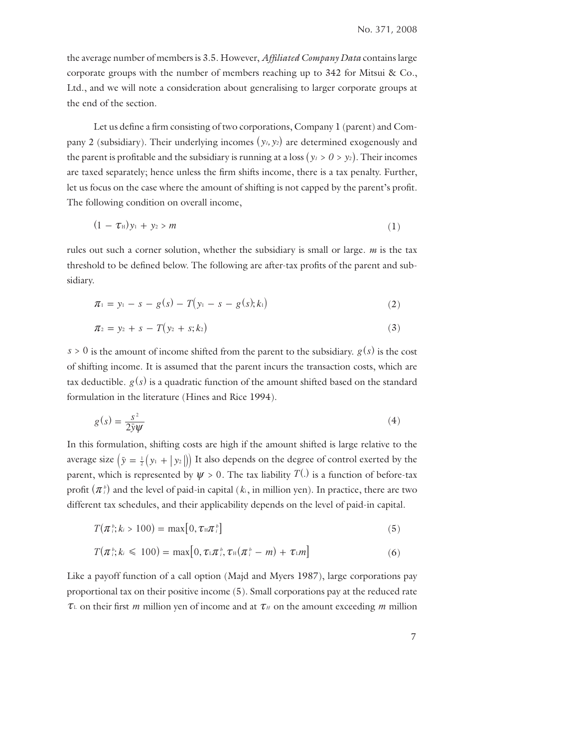the average number of members is 3.5. However, *Affi liated Company Data* contains large corporate groups with the number of members reaching up to 342 for Mitsui & Co., Ltd., and we will note a consideration about generalising to larger corporate groups at the end of the section.

Let us define a firm consisting of two corporations, Company 1 (parent) and Company 2 (subsidiary). Their underlying incomes  $(y_1, y_2)$  are determined exogenously and the parent is profitable and the subsidiary is running at a loss  $(y_1 > 0 > y_2)$ . Their incomes are taxed separately; hence unless the firm shifts income, there is a tax penalty. Further, let us focus on the case where the amount of shifting is not capped by the parent's profit. The following condition on overall income,

$$
(1 - \tau_{\mathbb{H}}) y_1 + y_2 > m \tag{1}
$$

rules out such a corner solution, whether the subsidiary is small or large. *m* is the tax threshold to be defined below. The following are after-tax profits of the parent and subsidiary.

$$
\pi_1 = y_1 - s - g(s) - T(y_1 - s - g(s); k_1)
$$
\n(2)

$$
\pi_2 = y_2 + s - T(y_2 + s; k_2) \tag{3}
$$

 $s > 0$  is the amount of income shifted from the parent to the subsidiary.  $g(s)$  is the cost of shifting income. It is assumed that the parent incurs the transaction costs, which are tax deductible.  $g(s)$  is a quadratic function of the amount shifted based on the standard formulation in the literature (Hines and Rice 1994).

$$
g(s) = \frac{s^2}{2\bar{y}\psi} \tag{4}
$$

In this formulation, shifting costs are high if the amount shifted is large relative to the average size  $(\bar{y} = \frac{1}{2}(y_1 + |y_2|))$  It also depends on the degree of control exerted by the parent, which is represented by  $\psi > 0$ . The tax liability  $T^{(1)}$  is a function of before-tax profit  $(\pi)$  and the level of paid-in capital ( $k$ , in million yen). In practice, there are two different tax schedules, and their applicability depends on the level of paid-in capital.

$$
T(\pi_i^b; k_i > 100) = \max[0, \tau_{\text{H}} \pi_i^b]
$$
\n
$$
(5)
$$

$$
T(\pi_i^{\,b}; k_i \leq 100) = \max[0, \tau_{\text{L}} \pi_i^{\,b}, \tau_{\text{H}} (\pi_i^{\,b} - m) + \tau_{\text{L}} m] \tag{6}
$$

Like a payoff function of a call option (Majd and Myers 1987), large corporations pay proportional tax on their positive income (5). Small corporations pay at the reduced rate  $\tau_{\text{L}}$  on their first *m* million yen of income and at  $\tau_{\text{H}}$  on the amount exceeding *m* million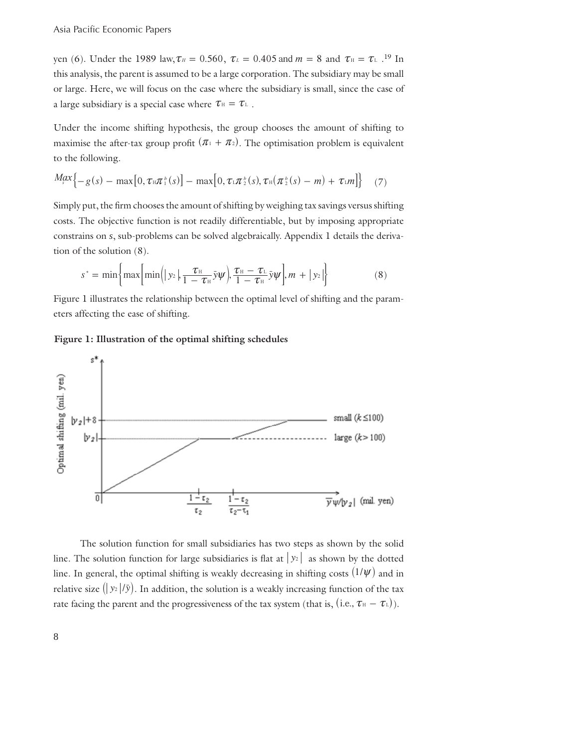yen (6). Under the 1989 law,  $\tau_H = 0.560$ ,  $\tau_L = 0.405$  and  $m = 8$  and  $\tau_H = \tau_L$ .<sup>19</sup> In this analysis, the parent is assumed to be a large corporation. The subsidiary may be small or large. Here, we will focus on the case where the subsidiary is small, since the case of a large subsidiary is a special case where  $\tau_{\text{H}} = \tau_{\text{L}}$ .

Under the income shifting hypothesis, the group chooses the amount of shifting to maximise the after-tax group profit  $( \pi_1 + \pi_2 )$ . The optimisation problem is equivalent to the following.

$$
Max\{-g(s) - \max[0, \tau \mathbb{E} \pi^b(s)] - \max[0, \tau \mathbb{E} \pi^b(s), \tau \mathbb{E} (\pi^b(s), \tau) - m] + \tau \mathbb{E} m]\} \quad (7)
$$

Simply put, the firm chooses the amount of shifting by weighing tax savings versus shifting costs. The objective function is not readily differentiable, but by imposing appropriate constrains on *s*, sub-problems can be solved algebraically. Appendix 1 details the derivation of the solution (8).

$$
s^* = \min\left\{\max\left[\min\left(|y_2|, \frac{\tau_{\text{H}}}{1 - \tau_{\text{H}}}\bar{y}\psi\right), \frac{\tau_{\text{H}} - \tau_{\text{L}}}{1 - \tau_{\text{H}}}\bar{y}\psi\right], m + |y_2|\right\} \tag{8}
$$

Figure 1 illustrates the relationship between the optimal level of shifting and the parameters affecting the ease of shifting.

#### **Figure 1: Illustration of the optimal shifting schedules**



 The solution function for small subsidiaries has two steps as shown by the solid line. The solution function for large subsidiaries is flat at  $|y_2|$  as shown by the dotted line. In general, the optimal shifting is weakly decreasing in shifting costs  $(1 / \psi)$  and in relative size  $\left( |y_2|/\bar{y} \right)$ . In addition, the solution is a weakly increasing function of the tax rate facing the parent and the progressiveness of the tax system (that is, (i.e.,  $\tau_H - \tau_L$ )).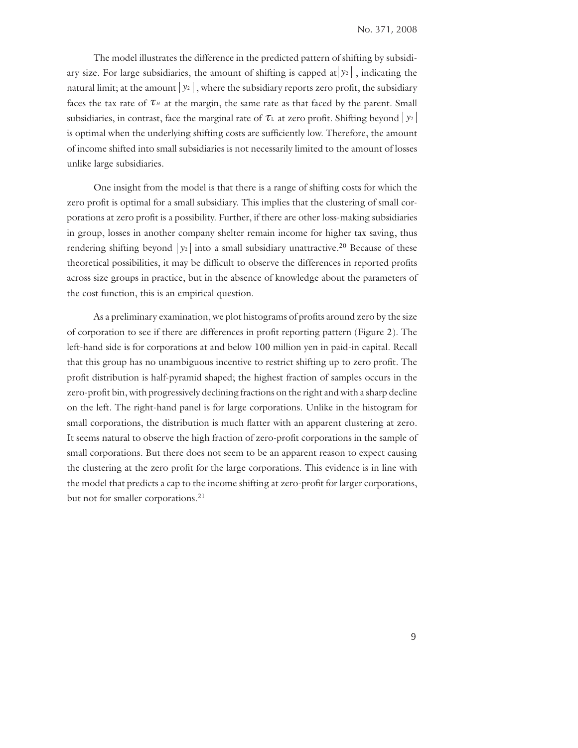The model illustrates the difference in the predicted pattern of shifting by subsidiary size. For large subsidiaries, the amount of shifting is capped at  $y_2$ , indicating the natural limit; at the amount  $y_2$ , where the subsidiary reports zero profit, the subsidiary faces the tax rate of  $\tau$ *H* at the margin, the same rate as that faced by the parent. Small subsidiaries, in contrast, face the marginal rate of  $\tau_L$  at zero profit. Shifting beyond  $|y_2|$ is optimal when the underlying shifting costs are sufficiently low. Therefore, the amount of income shifted into small subsidiaries is not necessarily limited to the amount of losses unlike large subsidiaries.

 One insight from the model is that there is a range of shifting costs for which the zero profit is optimal for a small subsidiary. This implies that the clustering of small corporations at zero profit is a possibility. Further, if there are other loss-making subsidiaries in group, losses in another company shelter remain income for higher tax saving, thus rendering shifting beyond  $|y_2|$  into a small subsidiary unattractive.<sup>20</sup> Because of these theoretical possibilities, it may be difficult to observe the differences in reported profits across size groups in practice, but in the absence of knowledge about the parameters of the cost function, this is an empirical question.

As a preliminary examination, we plot histograms of profits around zero by the size of corporation to see if there are differences in profit reporting pattern (Figure 2). The left-hand side is for corporations at and below 100 million yen in paid-in capital. Recall that this group has no unambiguous incentive to restrict shifting up to zero profit. The profit distribution is half-pyramid shaped; the highest fraction of samples occurs in the zero-profit bin, with progressively declining fractions on the right and with a sharp decline on the left. The right-hand panel is for large corporations. Unlike in the histogram for small corporations, the distribution is much flatter with an apparent clustering at zero. It seems natural to observe the high fraction of zero-profit corporations in the sample of small corporations. But there does not seem to be an apparent reason to expect causing the clustering at the zero profit for the large corporations. This evidence is in line with the model that predicts a cap to the income shifting at zero-profit for larger corporations, but not for smaller corporations.<sup>21</sup>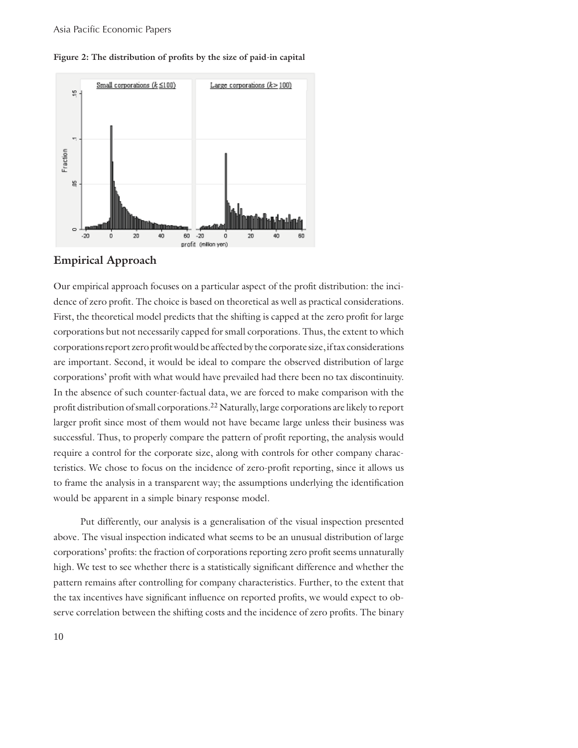

Figure 2: The distribution of profits by the size of paid-in capital

#### **Empirical Approach**

Our empirical approach focuses on a particular aspect of the profi t distribution: the incidence of zero profit. The choice is based on theoretical as well as practical considerations. First, the theoretical model predicts that the shifting is capped at the zero profit for large corporations but not necessarily capped for small corporations. Thus, the extent to which corporations report zero profit would be affected by the corporate size, if tax considerations are important. Second, it would be ideal to compare the observed distribution of large corporations' profit with what would have prevailed had there been no tax discontinuity. In the absence of such counter-factual data, we are forced to make comparison with the profit distribution of small corporations.<sup>22</sup> Naturally, large corporations are likely to report larger profit since most of them would not have became large unless their business was successful. Thus, to properly compare the pattern of profit reporting, the analysis would require a control for the corporate size, along with controls for other company characteristics. We chose to focus on the incidence of zero-profit reporting, since it allows us to frame the analysis in a transparent way; the assumptions underlying the identification would be apparent in a simple binary response model.

 Put differently, our analysis is a generalisation of the visual inspection presented above. The visual inspection indicated what seems to be an unusual distribution of large corporations' profits: the fraction of corporations reporting zero profit seems unnaturally high. We test to see whether there is a statistically significant difference and whether the pattern remains after controlling for company characteristics. Further, to the extent that the tax incentives have significant influence on reported profits, we would expect to observe correlation between the shifting costs and the incidence of zero profits. The binary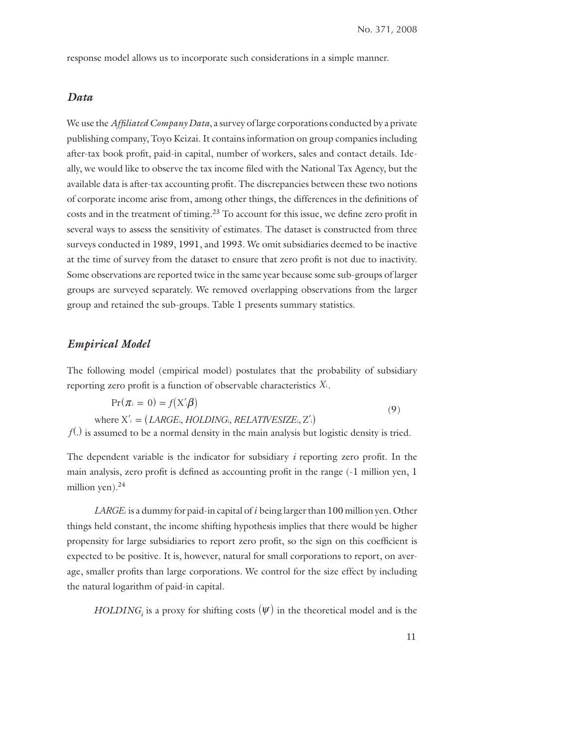response model allows us to incorporate such considerations in a simple manner.

#### *Data*

We use the *Affiliated Company Data*, a survey of large corporations conducted by a private publishing company, Toyo Keizai. It contains information on group companies including after-tax book profit, paid-in capital, number of workers, sales and contact details. Ideally, we would like to observe the tax income filed with the National Tax Agency, but the available data is after-tax accounting profit. The discrepancies between these two notions of corporate income arise from, among other things, the differences in the definitions of costs and in the treatment of timing.<sup>23</sup> To account for this issue, we define zero profit in several ways to assess the sensitivity of estimates. The dataset is constructed from three surveys conducted in 1989, 1991, and 1993. We omit subsidiaries deemed to be inactive at the time of survey from the dataset to ensure that zero profit is not due to inactivity. Some observations are reported twice in the same year because some sub-groups of larger groups are surveyed separately. We removed overlapping observations from the larger group and retained the sub-groups. Table 1 presents summary statistics.

#### *Empirical Model*

The following model (empirical model) postulates that the probability of subsidiary reporting zero profit is a function of observable characteristics  $X_i$ .

$$
Pr(\pi_i = 0) = f(X'_{i}\beta)
$$
  
where  $X'_{i} = (LARGE_{i}, HOLDING_{i}, RELATIVESIZE_{i}, Z'_{i})$  (9)

 $f^{(h)}$  is assumed to be a normal density in the main analysis but logistic density is tried.

The dependent variable is the indicator for subsidiary  $i$  reporting zero profit. In the main analysis, zero profit is defined as accounting profit in the range (-1 million yen, 1 million yen).<sup>24</sup>

*LARGEi* is a dummy for paid-in capital of *i* being larger than 100 million yen. Other things held constant, the income shifting hypothesis implies that there would be higher propensity for large subsidiaries to report zero profit, so the sign on this coefficient is expected to be positive. It is, however, natural for small corporations to report, on average, smaller profits than large corporations. We control for the size effect by including the natural logarithm of paid-in capital.

*HOLDING<sub>i</sub>* is a proxy for shifting costs  $(\psi)$  in the theoretical model and is the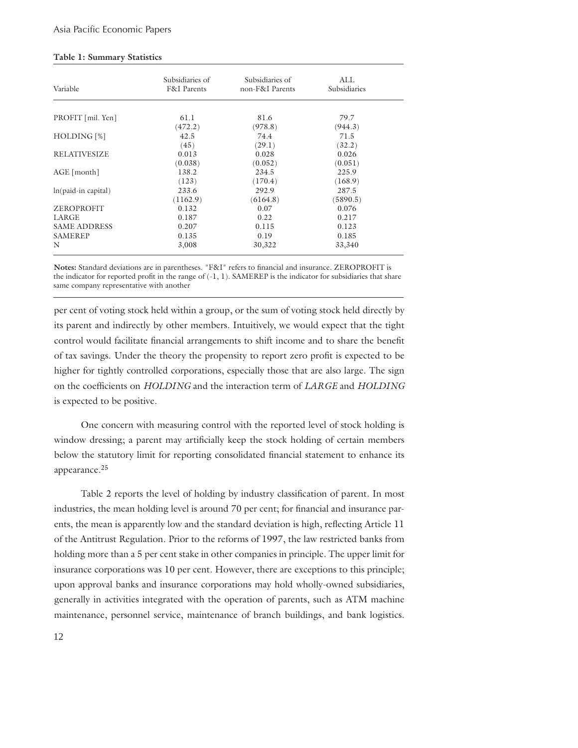#### **Table 1: Summary Statistics**

| Variable            | Subsidiaries of<br><b>F&amp;I</b> Parents | Subsidiaries of<br>non-F&I Parents | ALL<br>Subsidiaries |
|---------------------|-------------------------------------------|------------------------------------|---------------------|
| PROFIT [mil. Yen]   | 61.1                                      | 81.6                               | 79.7                |
|                     | (472.2)                                   | (978.8)                            | (944.3)             |
| HOLDING [%]         | 42.5                                      | 74.4                               | 71.5                |
|                     | (45)                                      | (29.1)                             | (32.2)              |
| <b>RELATIVESIZE</b> | 0.013                                     | 0.028                              | 0.026               |
|                     | (0.038)                                   | (0.052)                            | (0.051)             |
| $AGE$ [month]       | 138.2                                     | 234.5                              | 225.9               |
|                     | (123)                                     | (170.4)                            | (168.9)             |
| ln(paid-in capital) | 233.6                                     | 292.9                              | 287.5               |
|                     | (1162.9)                                  | (6164.8)                           | (5890.5)            |
| ZEROPROFIT          | 0.132                                     | 0.07                               | 0.076               |
| LARGE               | 0.187                                     | 0.22                               | 0.217               |
| <b>SAME ADDRESS</b> | 0.207                                     | 0.115                              | 0.123               |
| <b>SAMEREP</b>      | 0.135                                     | 0.19                               | 0.185               |
| N                   | 3,008                                     | 30,322                             | 33,340              |

Notes: Standard deviations are in parentheses. "F&I" refers to financial and insurance. ZEROPROFIT is the indicator for reported profit in the range of  $(-1, 1)$ . SAMEREP is the indicator for subsidiaries that share same company representative with another

per cent of voting stock held within a group, or the sum of voting stock held directly by its parent and indirectly by other members. Intuitively, we would expect that the tight control would facilitate financial arrangements to shift income and to share the benefit of tax savings. Under the theory the propensity to report zero profi t is expected to be higher for tightly controlled corporations, especially those that are also large. The sign on the coefficients on *HOLDING* and the interaction term of *LARGE* and *HOLDING* is expected to be positive.

 One concern with measuring control with the reported level of stock holding is window dressing; a parent may artificially keep the stock holding of certain members below the statutory limit for reporting consolidated financial statement to enhance its appearance.<sup>25</sup>

Table 2 reports the level of holding by industry classification of parent. In most industries, the mean holding level is around 70 per cent; for financial and insurance parents, the mean is apparently low and the standard deviation is high, reflecting Article 11 of the Antitrust Regulation. Prior to the reforms of 1997, the law restricted banks from holding more than a 5 per cent stake in other companies in principle. The upper limit for insurance corporations was 10 per cent. However, there are exceptions to this principle; upon approval banks and insurance corporations may hold wholly-owned subsidiaries, generally in activities integrated with the operation of parents, such as ATM machine maintenance, personnel service, maintenance of branch buildings, and bank logistics.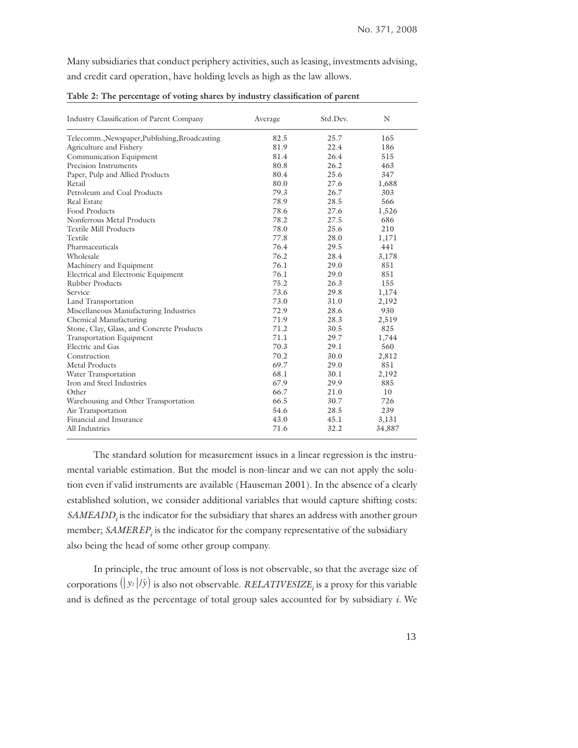Many subsidiaries that conduct periphery activities, such as leasing, investments advising, and credit card operation, have holding levels as high as the law allows.

| Industry Classification of Parent Company      | Average | Std.Dev. | N      |
|------------------------------------------------|---------|----------|--------|
| Telecomm., Newspaper, Publishing, Broadcasting | 82.5    | 25.7     | 165    |
| Agriculture and Fishery                        | 81.9    | 22.4     | 186    |
| Communication Equipment                        | 81.4    | 264      | 515    |
| Precision Instruments                          | 80.8    | 26.2     | 463    |
| Paper, Pulp and Allied Products                | 80.4    | 25.6     | 347    |
| Retail                                         | 80.0    | 27.6     | 1,688  |
| Petroleum and Coal Products                    | 79.3    | 26.7     | 303    |
| Real Estate                                    | 78.9    | 28.5     | 566    |
| <b>Food Products</b>                           | 78.6    | 27.6     | 1,526  |
| Nonferrous Metal Products                      | 78.2    | 27.5     | 686    |
| <b>Textile Mill Products</b>                   | 78.0    | 25.6     | 210    |
| Textile                                        | 77.8    | 28.0     | 1,171  |
| Pharmaceuticals                                | 76.4    | 29.5     | 441    |
| Wholesale                                      | 76.2    | 28.4     | 3,178  |
| Machinery and Equipment                        | 76.1    | 29.0     | 851    |
| Electrical and Electronic Equipment            | 76.1    | 29.0     | 851    |
| <b>Rubber Products</b>                         | 75.2    | 26.3     | 155    |
| Service                                        | 73.6    | 29.8     | 1,174  |
| Land Transportation                            | 73.0    | 31.0     | 2,192  |
| Miscellaneous Manufacturing Industries         | 72.9    | 28.6     | 930    |
| Chemical Manufacturing                         | 71.9    | 28.3     | 2,519  |
| Stone, Clay, Glass, and Concrete Products      | 71.2    | 30.5     | 825    |
| Transportation Equipment                       | 71.1    | 29.7     | 1,744  |
| Electric and Gas                               | 70.3    | 29.1     | 560    |
| Construction                                   | 70.2    | 30.0     | 2,812  |
| Metal Products                                 | 69.7    | 29.0     | 851    |
| Water Transportation                           | 68.1    | 30.1     | 2,192  |
| Iron and Steel Industries                      | 67.9    | 29.9     | 885    |
| Other                                          | 66.7    | 21.0     | 10     |
| Warehousing and Other Transportation           | 66.5    | 30.7     | 726    |
| Air Transportation                             | 54.6    | 28.5     | 239    |
| Financial and Insurance                        | 43.0    | 45.1     | 3,131  |
| All Industries                                 | 71.6    | 32.2     | 34,887 |

Table 2: The percentage of voting shares by industry classification of parent

 The standard solution for measurement issues in a linear regression is the instrumental variable estimation. But the model is non-linear and we can not apply the solution even if valid instruments are available (Hauseman 2001). In the absence of a clearly established solution, we consider additional variables that would capture shifting costs: *SAMEADD<sub>i</sub>* is the indicator for the subsidiary that shares an address with another group member; *SAMEREP<sub>i</sub>* is the indicator for the company representative of the subsidiary also being the head of some other group company.

 In principle, the true amount of loss is not observable, so that the average size of corporations  $(|y_2|/ \bar{y})$  is also not observable. *RELATIVESIZE<sub>i</sub>* is a proxy for this variable and is defined as the percentage of total group sales accounted for by subsidiary *i*. We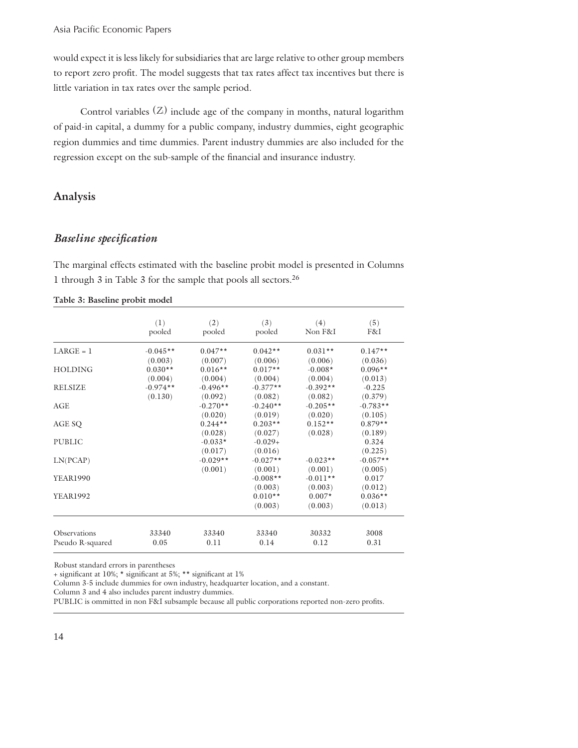would expect it is less likely for subsidiaries that are large relative to other group members to report zero profit. The model suggests that tax rates affect tax incentives but there is little variation in tax rates over the sample period.

Control variables  $(Z)$  include age of the company in months, natural logarithm of paid-in capital, a dummy for a public company, industry dummies, eight geographic region dummies and time dummies. Parent industry dummies are also included for the regression except on the sub-sample of the financial and insurance industry.

#### **Analysis**

#### *Baseline specifi cation*

The marginal effects estimated with the baseline probit model is presented in Columns 1 through 3 in Table 3 for the sample that pools all sectors.26

|                            | (1)        | (2)        | (3)        | (4)        | (5)        |
|----------------------------|------------|------------|------------|------------|------------|
|                            | pooled     | pooled     | pooled     | Non F&I    | F&I        |
| $LARGE = 1$                | $-0.045**$ | $0.047**$  | $0.042**$  | $0.031**$  | $0.147**$  |
|                            | (0.003)    | (0.007)    | (0.006)    | (0.006)    | (0.036)    |
| <b>HOLDING</b>             | $0.030**$  | $0.016**$  | $0.017**$  | $-0.008*$  | $0.096**$  |
|                            | (0.004)    | (0.004)    | (0.004)    | (0.004)    | (0.013)    |
| <b>RELSIZE</b>             | $-0.974**$ | $-0.496**$ | $-0.377**$ | $-0.392**$ | $-0.225$   |
|                            | (0.130)    | (0.092)    | (0.082)    | (0.082)    | (0.379)    |
| AGE                        |            | $-0.270**$ | $-0.240**$ | $-0.205**$ | $-0.783**$ |
|                            |            | (0.020)    | (0.019)    | (0.020)    | (0.105)    |
| AGE SQ                     |            | $0.244**$  | $0.203**$  | $0.152**$  | $0.879**$  |
|                            |            | (0.028)    | (0.027)    | (0.028)    | (0.189)    |
| <b>PUBLIC</b>              |            | $-0.033*$  | $-0.029+$  |            | 0.324      |
|                            |            | (0.017)    | (0.016)    |            | (0.225)    |
| LN(PCAP)                   |            | $-0.029**$ | $-0.027**$ | $-0.023**$ | $-0.057**$ |
|                            |            | (0.001)    | (0.001)    | (0.001)    | (0.005)    |
| <b>YEAR1990</b>            |            |            | $-0.008**$ | $-0.011**$ | 0.017      |
|                            |            |            | (0.003)    | (0.003)    | (0.012)    |
| <b>YEAR1992</b>            |            |            | $0.010**$  | $0.007*$   | $0.036**$  |
|                            |            |            | (0.003)    | (0.003)    | (0.013)    |
|                            |            |            |            |            |            |
| <i><b>Observations</b></i> | 33340      | 33340      | 33340      | 30332      | 3008       |
| Pseudo R-squared           | 0.05       | 0.11       | 0.14       | 0.12       | 0.31       |

**Table 3: Baseline probit model**

Robust standard errors in parentheses

+ significant at 10%; \* significant at 5%; \*\* significant at 1%

Column 3-5 include dummies for own industry, headquarter location, and a constant.

Column 3 and 4 also includes parent industry dummies.

PUBLIC is ommitted in non F&I subsample because all public corporations reported non-zero profits.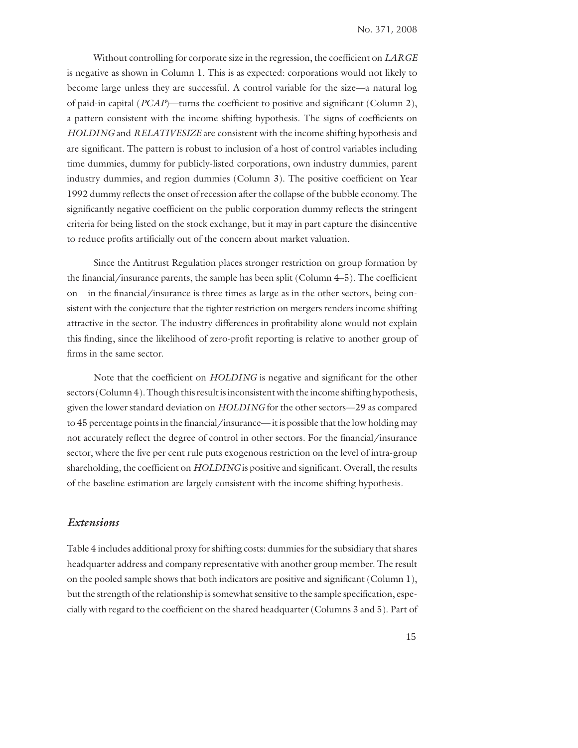Without controlling for corporate size in the regression, the coefficient on *LARGE* is negative as shown in Column 1. This is as expected: corporations would not likely to become large unless they are successful. A control variable for the size—a natural log of paid-in capital (*PCAP*)—turns the coefficient to positive and significant (Column 2), a pattern consistent with the income shifting hypothesis. The signs of coefficients on *HOLDING* and *RELATIVESIZE* are consistent with the income shifting hypothesis and are significant. The pattern is robust to inclusion of a host of control variables including time dummies, dummy for publicly-listed corporations, own industry dummies, parent industry dummies, and region dummies (Column 3). The positive coefficient on Year 1992 dummy reflects the onset of recession after the collapse of the bubble economy. The significantly negative coefficient on the public corporation dummy reflects the stringent criteria for being listed on the stock exchange, but it may in part capture the disincentive to reduce profits artificially out of the concern about market valuation.

 Since the Antitrust Regulation places stronger restriction on group formation by the financial/insurance parents, the sample has been split (Column  $4-5$ ). The coefficient on in the financial/insurance is three times as large as in the other sectors, being consistent with the conjecture that the tighter restriction on mergers renders income shifting attractive in the sector. The industry differences in profitability alone would not explain this finding, since the likelihood of zero-profit reporting is relative to another group of firms in the same sector.

Note that the coefficient on *HOLDING* is negative and significant for the other sectors (Column 4). Though this result is inconsistent with the income shifting hypothesis, given the lower standard deviation on *HOLDING* for the other sectors—29 as compared to 45 percentage points in the financial/insurance— it is possible that the low holding may not accurately reflect the degree of control in other sectors. For the financial/insurance sector, where the five per cent rule puts exogenous restriction on the level of intra-group shareholding, the coefficient on *HOLDING* is positive and significant. Overall, the results of the baseline estimation are largely consistent with the income shifting hypothesis.

#### *Extensions*

Table 4 includes additional proxy for shifting costs: dummies for the subsidiary that shares headquarter address and company representative with another group member. The result on the pooled sample shows that both indicators are positive and significant (Column 1), but the strength of the relationship is somewhat sensitive to the sample specification, especially with regard to the coefficient on the shared headquarter (Columns 3 and 5). Part of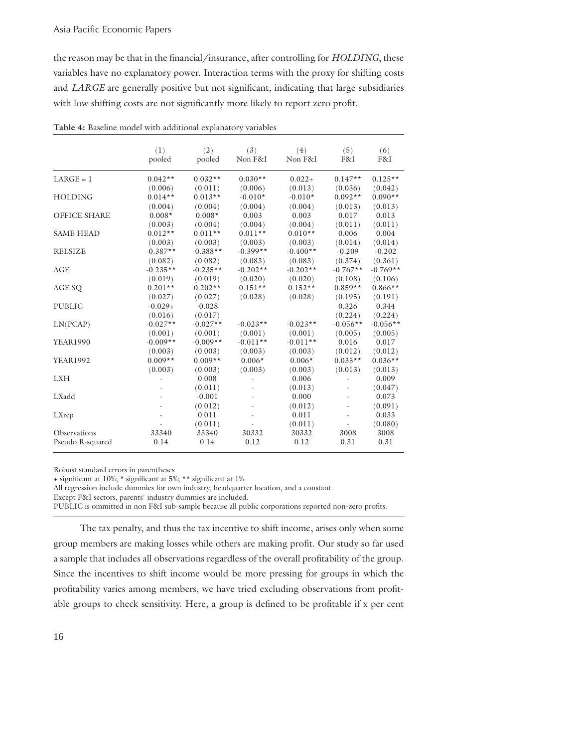#### Asia Pacific Economic Papers

the reason may be that in the financial/insurance, after controlling for *HOLDING*, these variables have no explanatory power. Interaction terms with the proxy for shifting costs and *LARGE* are generally positive but not significant, indicating that large subsidiaries with low shifting costs are not significantly more likely to report zero profit.

|                     | (1)<br>pooled | (2)<br>pooled | (3)<br>Non F&I | (4)<br>Non F&I | (5)<br>F&I | (6)<br>F&I |
|---------------------|---------------|---------------|----------------|----------------|------------|------------|
| $LARGE = 1$         | $0.042**$     | $0.032**$     | $0.030**$      | $0.022 +$      | $0.147**$  | $0.125**$  |
|                     | (0.006)       | (0.011)       | (0.006)        | (0.013)        | (0.036)    | (0.042)    |
| <b>HOLDING</b>      | $0.014**$     | $0.013**$     | $-0.010*$      | $-0.010*$      | $0.092**$  | $0.090**$  |
|                     | (0.004)       | (0.004)       | (0.004)        | (0.004)        | (0.013)    | (0.013)    |
| <b>OFFICE SHARE</b> | $0.008*$      | $0.008*$      | 0.003          | 0.003          | 0.017      | 0.013      |
|                     | (0.003)       | (0.004)       | (0.004)        | (0.004)        | (0.011)    | (0.011)    |
| <b>SAME HEAD</b>    | $0.012**$     | $0.011**$     | $0.011**$      | $0.010**$      | 0.006      | 0.004      |
|                     | (0.003)       | (0.003)       | (0.003)        | (0.003)        | (0.014)    | (0.014)    |
| <b>RELSIZE</b>      | $-0.387**$    | $-0.388**$    | $-0.399**$     | $-0.400**$     | $-0.209$   | $-0.202$   |
|                     | (0.082)       | (0.082)       | (0.083)        | (0.083)        | (0.374)    | (0.361)    |
| <b>AGE</b>          | $-0.235**$    | $-0.235**$    | $-0.202**$     | $-0.202**$     | $-0.767**$ | $-0.769**$ |
|                     | (0.019)       | (0.019)       | (0.020)        | (0.020)        | (0.108)    | (0.106)    |
| AGE SQ              | $0.201**$     | $0.202**$     | $0.151**$      | $0.152**$      | $0.859**$  | $0.866**$  |
|                     | (0.027)       | (0.027)       | (0.028)        | (0.028)        | (0.195)    | (0.191)    |
| <b>PUBLIC</b>       | $-0.029+$     | $-0.028$      |                |                | 0.326      | 0.344      |
|                     | (0.016)       | (0.017)       |                |                | (0.224)    | (0.224)    |
| LN(PCAP)            | $-0.027**$    | $-0.027**$    | $-0.023**$     | $-0.023**$     | $-0.056**$ | $-0.056**$ |
|                     | (0.001)       | (0.001)       | (0.001)        | (0.001)        | (0.005)    | (0.005)    |
| <b>YEAR1990</b>     | $-0.009**$    | $-0.009**$    | $-0.011**$     | $-0.011**$     | 0.016      | 0.017      |
|                     | (0.003)       | (0.003)       | (0.003)        | (0.003)        | (0.012)    | (0.012)    |
| <b>YEAR1992</b>     | $0.009**$     | $0.009**$     | $0.006*$       | $0.006*$       | $0.035**$  | $0.036**$  |
|                     | (0.003)       | (0.003)       | (0.003)        | (0.003)        | (0.013)    | (0.013)    |
| <b>LXH</b>          |               | 0.008         |                | 0.006          |            | 0.009      |
|                     |               | (0.011)       |                | (0.013)        |            | (0.047)    |
| LXadd               |               | $-0.001$      |                | 0.000          |            | 0.073      |
|                     |               | (0.012)       |                | (0.012)        |            | (0.091)    |
| LXrep               |               | 0.011         |                | 0.011          |            | 0.033      |
|                     |               | (0.011)       |                | (0.011)        |            | (0.080)    |
| Observations        | 33340         | 33340         | 30332          | 30332          | 3008       | 3008       |
| Pseudo R-squared    | 0.14          | 0.14          | 0.12           | 0.12           | 0.31       | 0.31       |

Robust standard errors in parentheses

+ significant at 10%; \* significant at 5%; \*\* significant at 1%

All regression include dummies for own industry, headquarter location, and a constant.

Except F&I sectors, parents' industry dummies are included.

PUBLIC is ommitted in non F&I sub-sample because all public corporations reported non-zero profits.

 The tax penalty, and thus the tax incentive to shift income, arises only when some group members are making losses while others are making profit. Our study so far used a sample that includes all observations regardless of the overall profitability of the group. Since the incentives to shift income would be more pressing for groups in which the profitability varies among members, we have tried excluding observations from profitable groups to check sensitivity. Here, a group is defined to be profitable if x per cent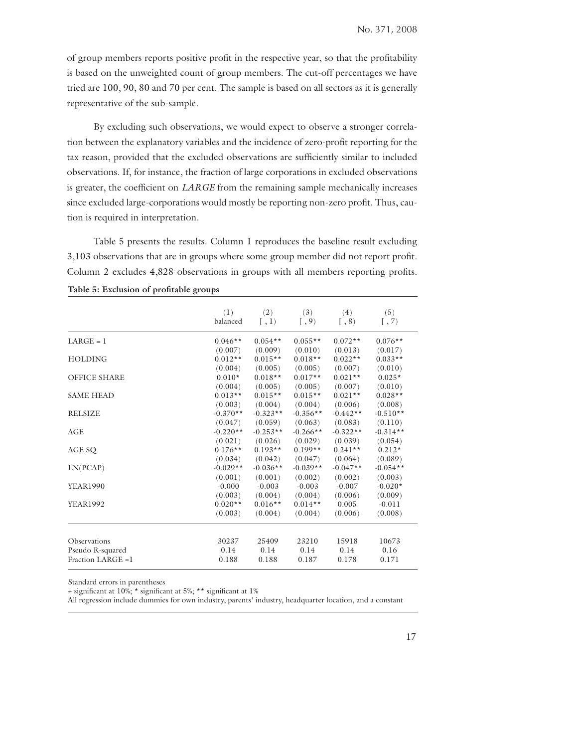of group members reports positive profit in the respective year, so that the profitability is based on the unweighted count of group members. The cut-off percentages we have tried are 100, 90, 80 and 70 per cent. The sample is based on all sectors as it is generally representative of the sub-sample.

 By excluding such observations, we would expect to observe a stronger correlation between the explanatory variables and the incidence of zero-profit reporting for the tax reason, provided that the excluded observations are sufficiently similar to included observations. If, for instance, the fraction of large corporations in excluded observations is greater, the coefficient on *LARGE* from the remaining sample mechanically increases since excluded large-corporations would mostly be reporting non-zero profit. Thus, caution is required in interpretation.

 Table 5 presents the results. Column 1 reproduces the baseline result excluding 3,103 observations that are in groups where some group member did not report profit. Column 2 excludes 4,828 observations in groups with all members reporting profits.

|                     | (1)<br>balanced | (2)<br>[ , 1) | (3)<br>$[ , 9)$ | (4)<br>$\left[ 0, 8 \right)$ | (5)<br>[ , 7) |
|---------------------|-----------------|---------------|-----------------|------------------------------|---------------|
|                     |                 |               |                 |                              |               |
| $LARGE = 1$         | $0.046**$       | $0.054**$     | $0.055**$       | $0.072**$                    | $0.076**$     |
|                     | (0.007)         | (0.009)       | (0.010)         | (0.013)                      | (0.017)       |
| <b>HOLDING</b>      | $0.012**$       | $0.015**$     | $0.018**$       | $0.022**$                    | $0.033**$     |
|                     | (0.004)         | (0.005)       | (0.005)         | (0.007)                      | (0.010)       |
| <b>OFFICE SHARE</b> | $0.010*$        | $0.018**$     | $0.017**$       | $0.021**$                    | $0.025*$      |
|                     | (0.004)         | (0.005)       | (0.005)         | (0.007)                      | (0.010)       |
| <b>SAME HEAD</b>    | $0.013**$       | $0.015**$     | $0.015**$       | $0.021**$                    | $0.028**$     |
|                     | (0.003)         | (0.004)       | (0.004)         | (0.006)                      | (0.008)       |
| <b>RELSIZE</b>      | $-0.370**$      | $-0.323**$    | $-0.356**$      | $-0.442**$                   | $-0.510**$    |
|                     | (0.047)         | (0.059)       | (0.063)         | (0.083)                      | (0.110)       |
| AGE                 | $-0.220**$      | $-0.253**$    | $-0.266**$      | $-0.322**$                   | $-0.314**$    |
|                     | (0.021)         | (0.026)       | (0.029)         | (0.039)                      | (0.054)       |
| AGE SQ              | $0.176**$       | $0.193**$     | $0.199**$       | $0.241**$                    | $0.212*$      |
|                     | (0.034)         | (0.042)       | (0.047)         | (0.064)                      | (0.089)       |
| LN(PCAP)            | $-0.029**$      | $-0.036**$    | $-0.039**$      | $-0.047**$                   | $-0.054**$    |
|                     | (0.001)         | (0.001)       | (0.002)         | (0.002)                      | (0.003)       |
| <b>YEAR1990</b>     | $-0.000$        | $-0.003$      | $-0.003$        | $-0.007$                     | $-0.020*$     |
|                     | (0.003)         | (0.004)       | (0.004)         | (0.006)                      | (0.009)       |
| <b>YEAR1992</b>     | $0.020**$       | $0.016**$     | $0.014**$       | 0.005                        | $-0.011$      |
|                     | (0.003)         | (0.004)       | (0.004)         | (0.006)                      | (0.008)       |
| <b>Observations</b> | 30237           | 25409         | 23210           | 15918                        | 10673         |
| Pseudo R-squared    | 0.14            | 0.14          | 0.14            | 0.14                         | 0.16          |
| Fraction LARGE =1   | 0.188           | 0.188         | 0.187           | 0.178                        | 0.171         |
|                     |                 |               |                 |                              |               |

Table 5: Exclusion of profitable groups

Standard errors in parentheses

+ significant at  $10\%$ ; \* significant at 5%; \*\* significant at 1%

All regression include dummies for own industry, parents' industry, headquarter location, and a constant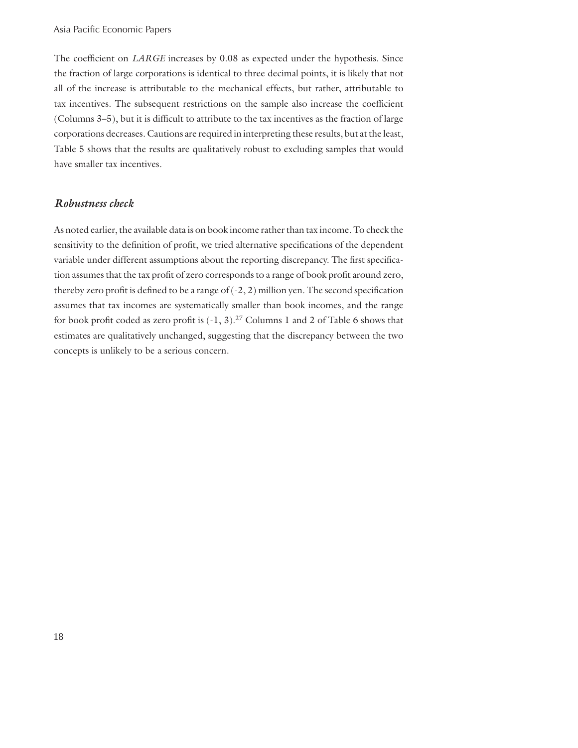The coefficient on *LARGE* increases by 0.08 as expected under the hypothesis. Since the fraction of large corporations is identical to three decimal points, it is likely that not all of the increase is attributable to the mechanical effects, but rather, attributable to tax incentives. The subsequent restrictions on the sample also increase the coefficient (Columns 3–5), but it is difficult to attribute to the tax incentives as the fraction of large corporations decreases. Cautions are required in interpreting these results, but at the least, Table 5 shows that the results are qualitatively robust to excluding samples that would have smaller tax incentives.

#### *Robustness check*

As noted earlier, the available data is on book income rather than tax income. To check the sensitivity to the definition of profit, we tried alternative specifications of the dependent variable under different assumptions about the reporting discrepancy. The first specification assumes that the tax profit of zero corresponds to a range of book profit around zero, thereby zero profit is defined to be a range of  $(-2, 2)$  million yen. The second specification assumes that tax incomes are systematically smaller than book incomes, and the range for book profit coded as zero profit is  $(-1, 3)$ .<sup>27</sup> Columns 1 and 2 of Table 6 shows that estimates are qualitatively unchanged, suggesting that the discrepancy between the two concepts is unlikely to be a serious concern.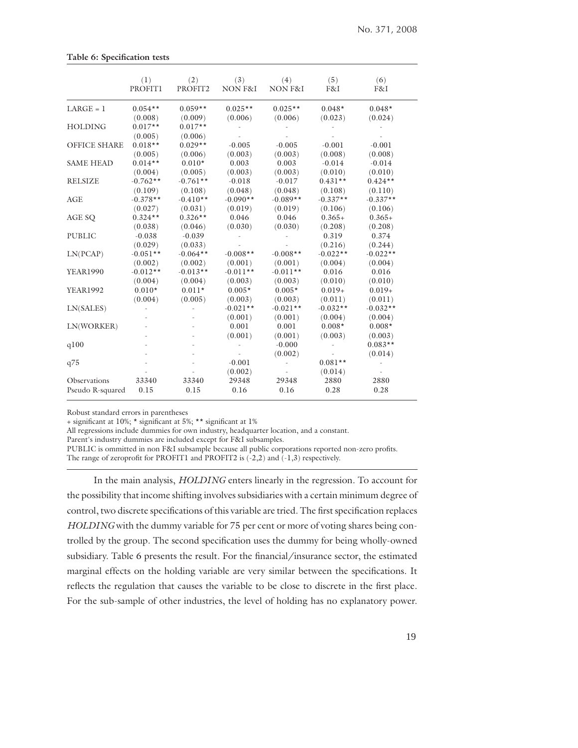|                     | (1)                  | (2)                  | (3)                   | (4)                   | (5)                   | (6)                   |
|---------------------|----------------------|----------------------|-----------------------|-----------------------|-----------------------|-----------------------|
|                     | <b>PROFIT1</b>       | PROFIT2              | <b>NON F&amp;I</b>    | <b>NON F&amp;I</b>    | F&I                   | F&I                   |
| $LARGE = 1$         | $0.054**$            | $0.059**$            | $0.025**$             | $0.025**$             | $0.048*$              | $0.048*$              |
|                     | (0.008)              | (0.009)              | (0.006)               | (0.006)               | (0.023)               | (0.024)               |
| <b>HOLDING</b>      | $0.017**$<br>(0.005) | $0.017**$<br>(0.006) |                       |                       |                       |                       |
| <b>OFFICE SHARE</b> | $0.018**$            | $0.029**$            | $-0.005$              | $-0.005$              | $-0.001$              | $-0.001$              |
|                     | (0.005)              | (0.006)              | (0.003)               | (0.003)               | (0.008)               | (0.008)               |
| <b>SAME HEAD</b>    | $0.014**$            | $0.010*$             | 0.003                 | 0.003                 | $-0.014$              | $-0.014$              |
|                     | (0.004)              | (0.005)              | (0.003)               | (0.003)               | (0.010)               | (0.010)               |
| <b>RELSIZE</b>      | $-0.762**$           | $-0.761**$           | $-0.018$              | $-0.017$              | $0.431**$             | $0.424**$             |
|                     | (0.109)              | (0.108)              | (0.048)               | (0.048)               | (0.108)               | (0.110)               |
| AGE                 | $-0.378**$           | $-0.410**$           | $-0.090**$            | $-0.089**$            | $-0.337**$            | $-0.337**$            |
|                     | (0.027)              | (0.031)              | (0.019)               | (0.019)               | (0.106)               | (0.106)               |
| AGE SQ              | $0.324**$            | $0.326**$            | 0.046                 | 0.046                 | $0.365+$              | $0.365+$              |
|                     | (0.038)              | (0.046)              | (0.030)               | (0.030)               | (0.208)               | (0.208)               |
| <b>PUBLIC</b>       | $-0.038$<br>(0.029)  | $-0.039$<br>(0.033)  |                       |                       | 0.319<br>(0.216)      | 0.374<br>(0.244)      |
| LN(PCAP)            | $-0.051**$           | $-0.064**$           | $-0.008**$            | $-0.008**$            | $-0.022**$            | $-0.022**$            |
|                     | (0.002)              | (0.002)              | (0.001)               | (0.001)               | (0.004)               | (0.004)               |
| <b>YEAR1990</b>     | $-0.012**$           | $-0.013**$           | $-0.011**$            | $-0.011**$            | 0.016                 | 0.016                 |
|                     | (0.004)              | (0.004)              | (0.003)               | (0.003)               | (0.010)               | (0.010)               |
| <b>YEAR1992</b>     | $0.010*$             | $0.011*$             | $0.005*$              | $0.005*$              | $0.019+$              | $0.019+$              |
|                     | (0.004)              | (0.005)              | (0.003)               | (0.003)               | (0.011)               | (0.011)               |
| LN(SALES)           |                      |                      | $-0.021**$<br>(0.001) | $-0.021**$<br>(0.001) | $-0.032**$<br>(0.004) | $-0.032**$<br>(0.004) |
| LN(WORKER)          |                      |                      | 0.001<br>(0.001)      | 0.001<br>(0.001)      | $0.008*$<br>(0.003)   | $0.008*$<br>(0.003)   |
| q100                |                      |                      |                       | $-0.000$<br>(0.002)   |                       | $0.083**$<br>(0.014)  |
| q75                 |                      |                      | $-0.001$<br>(0.002)   |                       | $0.081**$<br>(0.014)  |                       |
| Observations        | 33340                | 33340                | 29348                 | 29348                 | 2880                  | 2880                  |
| Pseudo R-squared    | 0.15                 | 0.15                 | 0.16                  | 0.16                  | 0.28                  | 0.28                  |

Robust standard errors in parentheses

**Table 6: Specification tests** 

+ significant at 10%; \* significant at 5%; \*\* significant at 1%

All regressions include dummies for own industry, headquarter location, and a constant.

Parent's industry dummies are included except for F&I subsamples.

PUBLIC is ommitted in non F&I subsample because all public corporations reported non-zero profits. The range of zeroprofit for PROFIT1 and PROFIT2 is  $(-2,2)$  and  $(-1,3)$  respectively.

 In the main analysis, *HOLDING* enters linearly in the regression. To account for the possibility that income shifting involves subsidiaries with a certain minimum degree of control, two discrete specifications of this variable are tried. The first specification replaces *HOLDING* with the dummy variable for 75 per cent or more of voting shares being controlled by the group. The second specification uses the dummy for being wholly-owned subsidiary. Table 6 presents the result. For the financial/insurance sector, the estimated marginal effects on the holding variable are very similar between the specifications. It reflects the regulation that causes the variable to be close to discrete in the first place. For the sub-sample of other industries, the level of holding has no explanatory power.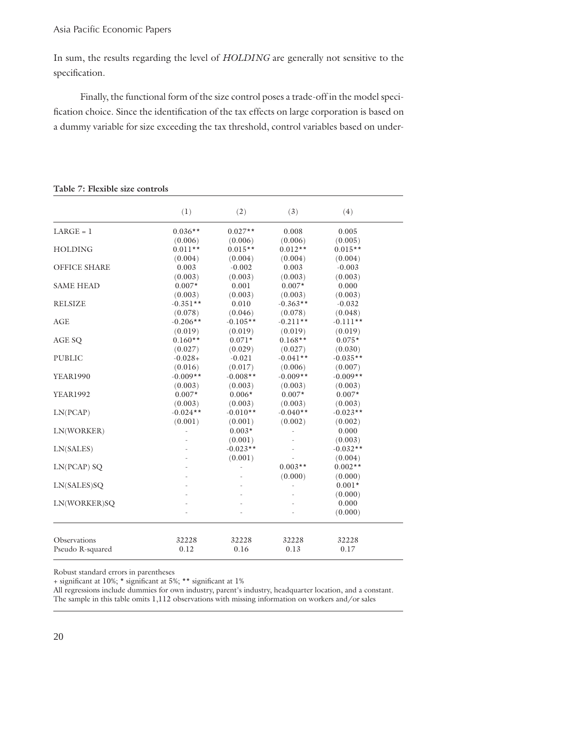In sum, the results regarding the level of *HOLDING* are generally not sensitive to the specification.

 Finally, the functional form of the size control poses a trade-off in the model specification choice. Since the identification of the tax effects on large corporation is based on a dummy variable for size exceeding the tax threshold, control variables based on under-

|                     | (1)        | (2)        | (3)        | (4)        |  |
|---------------------|------------|------------|------------|------------|--|
| $LARGE = 1$         | $0.036**$  | $0.027**$  | 0.008      | 0.005      |  |
|                     | (0.006)    | (0.006)    | (0.006)    | (0.005)    |  |
| <b>HOLDING</b>      | $0.011**$  | $0.015**$  | $0.012**$  | $0.015**$  |  |
|                     | (0.004)    | (0.004)    | (0.004)    | (0.004)    |  |
| <b>OFFICE SHARE</b> | 0.003      | $-0.002$   | 0.003      | $-0.003$   |  |
|                     | (0.003)    | (0.003)    | (0.003)    | (0.003)    |  |
| <b>SAME HEAD</b>    | $0.007*$   | 0.001      | $0.007*$   | 0.000      |  |
|                     | (0.003)    | (0.003)    | (0.003)    | (0.003)    |  |
| <b>RELSIZE</b>      | $-0.351**$ | 0.010      | $-0.363**$ | $-0.032$   |  |
|                     | (0.078)    | (0.046)    | (0.078)    | (0.048)    |  |
| <b>AGE</b>          | $-0.206**$ | $-0.105**$ | $-0.211**$ | $-0.111**$ |  |
|                     | (0.019)    | (0.019)    | (0.019)    | (0.019)    |  |
| AGE SQ              | $0.160**$  | $0.071*$   | $0.168**$  | $0.075*$   |  |
|                     | (0.027)    | (0.029)    | (0.027)    | (0.030)    |  |
| <b>PUBLIC</b>       | $-0.028+$  | $-0.021$   | $-0.041**$ | $-0.035**$ |  |
|                     | (0.016)    | (0.017)    | (0.006)    | (0.007)    |  |
| <b>YEAR1990</b>     | $-0.009**$ | $-0.008**$ | $-0.009**$ | $-0.009**$ |  |
|                     | (0.003)    | (0.003)    | (0.003)    | (0.003)    |  |
| <b>YEAR1992</b>     | $0.007*$   | $0.006*$   | $0.007*$   | $0.007*$   |  |
|                     | (0.003)    | (0.003)    | (0.003)    | (0.003)    |  |
| LN(PCAP)            | $-0.024**$ | $-0.010**$ | $-0.040**$ | $-0.023**$ |  |
|                     | (0.001)    | (0.001)    | (0.002)    | (0.002)    |  |
| LN(WORKER)          |            | $0.003*$   |            | 0.000      |  |
|                     |            | (0.001)    |            | (0.003)    |  |
| LN(SALES)           |            | $-0.023**$ |            | $-0.032**$ |  |
|                     |            | (0.001)    |            | (0.004)    |  |
| $LN(PCAP)$ SQ       |            |            | $0.003**$  | $0.002**$  |  |
|                     |            |            | (0.000)    | (0.000)    |  |
| LN(SALES)SQ         |            |            |            | $0.001*$   |  |
|                     |            |            |            | (0.000)    |  |
| LN(WORKER)SQ        |            |            |            | 0.000      |  |
|                     |            |            |            | (0.000)    |  |
| Observations        | 32228      | 32228      | 32228      | 32228      |  |
| Pseudo R-squared    | 0.12       | 0.16       | 0.13       | 0.17       |  |
|                     |            |            |            |            |  |

**Table 7: Flexible size controls**

Robust standard errors in parentheses

+ significant at 10%; \* significant at 5%; \*\* significant at 1%

All regressions include dummies for own industry, parent's industry, headquarter location, and a constant. The sample in this table omits 1,112 observations with missing information on workers and/or sales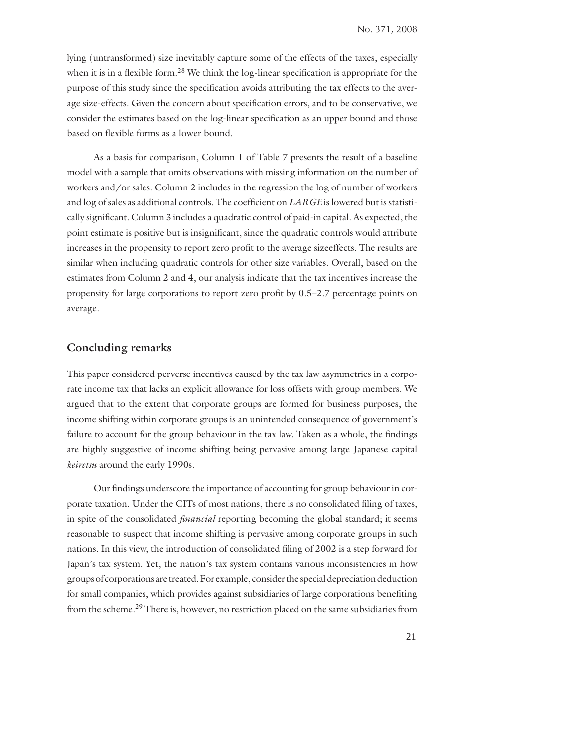lying (untransformed) size inevitably capture some of the effects of the taxes, especially when it is in a flexible form.<sup>28</sup> We think the log-linear specification is appropriate for the purpose of this study since the specification avoids attributing the tax effects to the average size-effects. Given the concern about specification errors, and to be conservative, we consider the estimates based on the log-linear specification as an upper bound and those based on flexible forms as a lower bound.

 As a basis for comparison, Column 1 of Table 7 presents the result of a baseline model with a sample that omits observations with missing information on the number of workers and/or sales. Column 2 includes in the regression the log of number of workers and log of sales as additional controls. The coefficient on *LARGE* is lowered but is statistically significant. Column 3 includes a quadratic control of paid-in capital. As expected, the point estimate is positive but is insignificant, since the quadratic controls would attribute increases in the propensity to report zero profit to the average sizeeffects. The results are similar when including quadratic controls for other size variables. Overall, based on the estimates from Column 2 and 4, our analysis indicate that the tax incentives increase the propensity for large corporations to report zero profit by 0.5–2.7 percentage points on average.

#### **Concluding remarks**

This paper considered perverse incentives caused by the tax law asymmetries in a corporate income tax that lacks an explicit allowance for loss offsets with group members. We argued that to the extent that corporate groups are formed for business purposes, the income shifting within corporate groups is an unintended consequence of government's failure to account for the group behaviour in the tax law. Taken as a whole, the findings are highly suggestive of income shifting being pervasive among large Japanese capital *keiretsu* around the early 1990s.

Our findings underscore the importance of accounting for group behaviour in corporate taxation. Under the CITs of most nations, there is no consolidated filing of taxes, in spite of the consolidated *financial* reporting becoming the global standard; it seems reasonable to suspect that income shifting is pervasive among corporate groups in such nations. In this view, the introduction of consolidated filing of 2002 is a step forward for Japan's tax system. Yet, the nation's tax system contains various inconsistencies in how groups of corporations are treated. For example, consider the special depreciation deduction for small companies, which provides against subsidiaries of large corporations benefiting from the scheme.29 There is, however, no restriction placed on the same subsidiaries from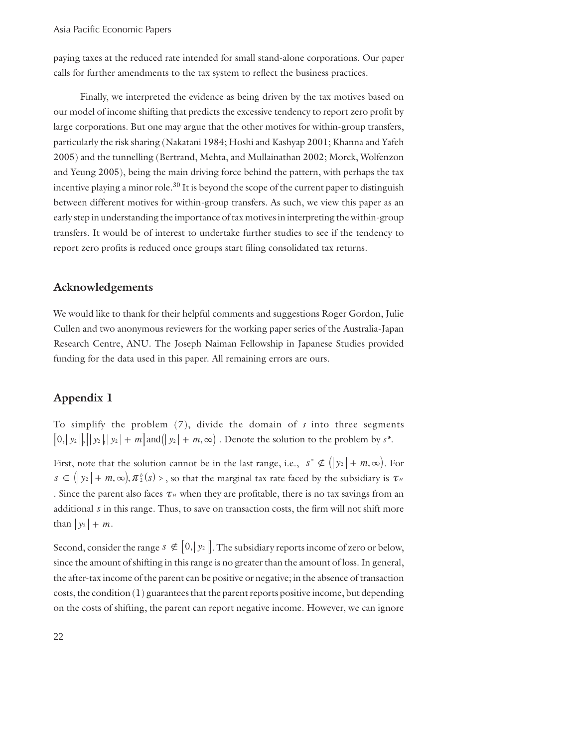paying taxes at the reduced rate intended for small stand-alone corporations. Our paper calls for further amendments to the tax system to reflect the business practices.

 Finally, we interpreted the evidence as being driven by the tax motives based on our model of income shifting that predicts the excessive tendency to report zero profi t by large corporations. But one may argue that the other motives for within-group transfers, particularly the risk sharing (Nakatani 1984; Hoshi and Kashyap 2001; Khanna and Yafeh 2005) and the tunnelling (Bertrand, Mehta, and Mullainathan 2002; Morck, Wolfenzon and Yeung 2005), being the main driving force behind the pattern, with perhaps the tax incentive playing a minor role.<sup>30</sup> It is beyond the scope of the current paper to distinguish between different motives for within-group transfers. As such, we view this paper as an early step in understanding the importance of tax motives in interpreting the within-group transfers. It would be of interest to undertake further studies to see if the tendency to report zero profits is reduced once groups start filing consolidated tax returns.

#### **Acknowledgements**

We would like to thank for their helpful comments and suggestions Roger Gordon, Julie Cullen and two anonymous reviewers for the working paper series of the Australia-Japan Research Centre, ANU. The Joseph Naiman Fellowship in Japanese Studies provided funding for the data used in this paper. All remaining errors are ours.

#### **Appendix 1**

To simplify the problem (7), divide the domain of *s* into three segments  $\left[0, |y_2|, ||y_2||, |y_2| + m\right]$  and  $\left( |y_2| + m, \infty \right)$ . Denote the solution to the problem by  $s^*$ .

First, note that the solution cannot be in the last range, i.e.,  $s^* \notin (y_2 | + m, \infty)$ . For  $s \in (y_2 + m, \infty), \pi_2^b(s) >$ , so that the marginal tax rate faced by the subsidiary is  $\tau_H$ . Since the parent also faces  $\tau$ <sub>*H*</sub> when they are profitable, there is no tax savings from an additional *s* in this range. Thus, to save on transaction costs, the firm will not shift more than  $|y_2| + m$ .

Second, consider the range  $s \notin [0, |y_2|]$ . The subsidiary reports income of zero or below, since the amount of shifting in this range is no greater than the amount of loss. In general, the after-tax income of the parent can be positive or negative; in the absence of transaction costs, the condition (1) guarantees that the parent reports positive income, but depending on the costs of shifting, the parent can report negative income. However, we can ignore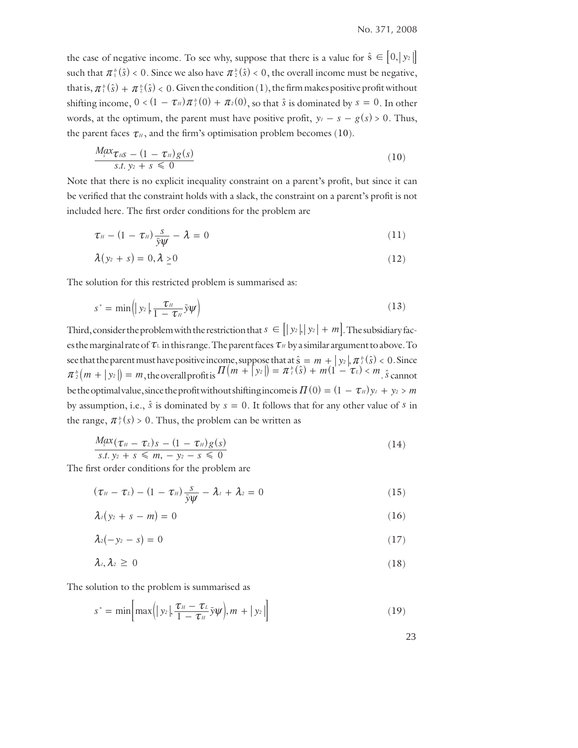the case of negative income. To see why, suppose that there is a value for  $\hat{s} \in [0, y_2]$ such that  $\pi^b(\hat{s}) < 0$ . Since we also have  $\pi^b(\hat{s}) < 0$ , the overall income must be negative, that is,  $\pi_1^b(\hat{s}) + \pi_2^b(\hat{s}) < 0$ . Given the condition (1), the firm makes positive profit without shifting income,  $0 < (1 - \tau_{\scriptscriptstyle H}) \pi^b_{\scriptscriptstyle I}(0) + \pi^b_{\scriptscriptstyle I}(0)$ , so that  $\hat{s}$  is dominated by  $s = 0$ . In other words, at the optimum, the parent must have positive profit,  $y_i - s - g(s) > 0$ . Thus, the parent faces  $\tau$ <sub>*H*</sub>, and the firm's optimisation problem becomes (10).

$$
\frac{M_{s}x_{\tau_{H}S} - (1 - \tau_{H})g(s)}{s.t. y_{2} + s \leq 0}
$$
\n(10)

Note that there is no explicit inequality constraint on a parent's profit, but since it can be verified that the constraint holds with a slack, the constraint on a parent's profit is not included here. The first order conditions for the problem are

$$
\tau_{H} - (1 - \tau_{H}) \frac{s}{\bar{y}\psi} - \lambda = 0 \tag{11}
$$

$$
\lambda(y_2+s)=0,\lambda\geq 0\tag{12}
$$

The solution for this restricted problem is summarised as:

$$
s^* = \min\left(|y_2|, \frac{\tau_H}{1 - \tau_H} \bar{y}\psi\right) \tag{13}
$$

Third, consider the problem with the restriction that  $s \in [y_2, y_2 + m]$ . The subsidiary faces the marginal rate of  $\tau_L$  in this range. The parent faces  $\tau_H$  by a similar argument to above. To see that the parent must have positive income, suppose that at  $\hat{s} = m + |y_2|$ ,  $\pi_l^b(\hat{s}) < 0$ . Since  $\pi_{2}^{b}(m + y_{2}) = m$ , the overall profit is  $\pi_{2}(m + y_{2}) = \pi_{2}^{b}(s) + m(1 - \tau_{L}) < m$ .  $\hat{s}$  cannot be the optimal value, since the profit without shifting income is  $\Pi(0) = (1 - \tau_H) y_I + y_2 > m$ by assumption, i.e.,  $\hat{s}$  is dominated by  $s = 0$ . It follows that for any other value of *s* in the range,  $\pi_l^b(s) > 0$ . Thus, the problem can be written as

$$
\frac{M_{s}^{2}x(\tau_{H}-\tau_{L})s-(1-\tau_{H})g(s)}{s.t. y_{2}+s\leqslant m, -y_{2}-s\leqslant 0}
$$
\n(14)

The first order conditions for the problem are

$$
(\tau_{\scriptscriptstyle H}-\tau_{\scriptscriptstyle L})-(1-\tau_{\scriptscriptstyle H})\frac{s}{\bar{y}\psi}-\lambda_{\scriptscriptstyle I}+\lambda_{\scriptscriptstyle 2}=0 \qquad \qquad (15)
$$

$$
\lambda_1(y_2 + s - m) = 0 \tag{16}
$$

$$
\lambda_2(-y_2-s)=0\tag{17}
$$

$$
\lambda_1, \lambda_2 \geq 0 \tag{18}
$$

The solution to the problem is summarised as

$$
s^* = \min\left[\max\left(|y_2|, \frac{\tau_H - \tau_L}{1 - \tau_H}\bar{y}\psi\right), m + |y_2|\right] \tag{19}
$$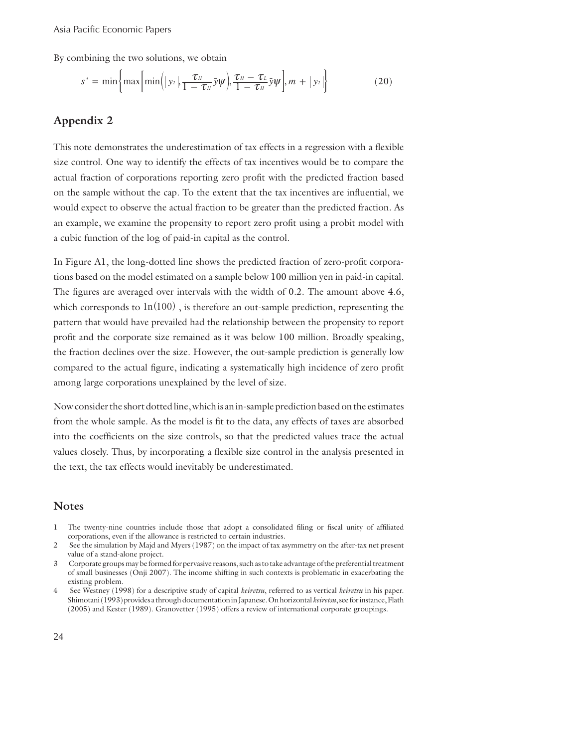By combining the two solutions, we obtain

$$
s^* = \min\left\{\max\left[\min\left(|y_2|, \frac{\tau_H}{1 - \tau_H} \bar{y}\psi\right), \frac{\tau_H - \tau_L}{1 - \tau_H} \bar{y}\psi\right], m + |y_2|\right\} \tag{20}
$$

#### **Appendix 2**

This note demonstrates the underestimation of tax effects in a regression with a flexible size control. One way to identify the effects of tax incentives would be to compare the actual fraction of corporations reporting zero profit with the predicted fraction based on the sample without the cap. To the extent that the tax incentives are influential, we would expect to observe the actual fraction to be greater than the predicted fraction. As an example, we examine the propensity to report zero profit using a probit model with a cubic function of the log of paid-in capital as the control.

In Figure A1, the long-dotted line shows the predicted fraction of zero-profit corporations based on the model estimated on a sample below 100 million yen in paid-in capital. The figures are averaged over intervals with the width of  $0.2$ . The amount above  $4.6$ , which corresponds to  $\ln(100)$ , is therefore an out-sample prediction, representing the pattern that would have prevailed had the relationship between the propensity to report profit and the corporate size remained as it was below 100 million. Broadly speaking, the fraction declines over the size. However, the out-sample prediction is generally low compared to the actual figure, indicating a systematically high incidence of zero profit among large corporations unexplained by the level of size.

Now consider the short dotted line, which is an in-sample prediction based on the estimates from the whole sample. As the model is fit to the data, any effects of taxes are absorbed into the coefficients on the size controls, so that the predicted values trace the actual values closely. Thus, by incorporating a flexible size control in the analysis presented in the text, the tax effects would inevitably be underestimated.

#### **Notes**

- 1 The twenty-nine countries include those that adopt a consolidated filing or fiscal unity of affiliated corporations, even if the allowance is restricted to certain industries.
- 2 See the simulation by Majd and Myers (1987) on the impact of tax asymmetry on the after-tax net present value of a stand-alone project.
- 3 Corporate groups may be formed for pervasive reasons, such as to take advantage of the preferential treatment of small businesses (Onji 2007). The income shifting in such contexts is problematic in exacerbating the existing problem.
- 4 See Westney (1998) for a descriptive study of capital *keiretsu*, referred to as vertical *keiretsu* in his paper. Shimotani (1993) provides a through documentation in Japanese. On horizontal *keiretsu*, see for instance, Flath (2005) and Kester (1989). Granovetter (1995) offers a review of international corporate groupings.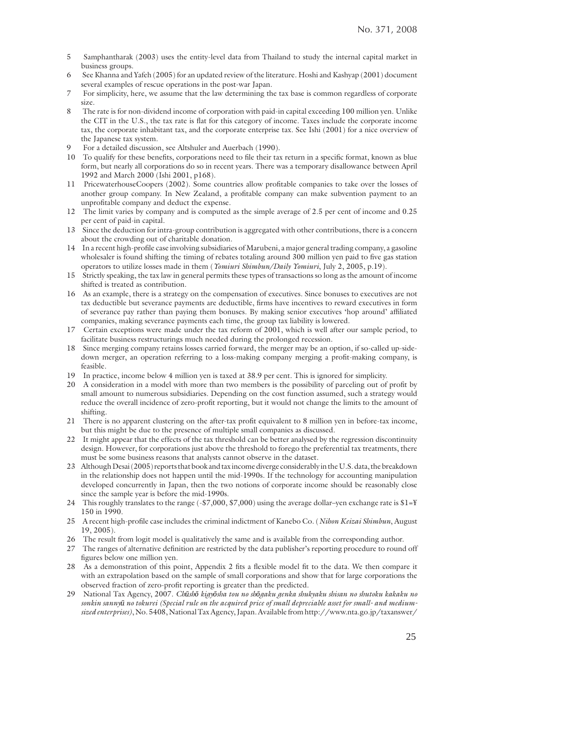- 5 Samphantharak (2003) uses the entity-level data from Thailand to study the internal capital market in business groups.
- 6 See Khanna and Yafeh (2005) for an updated review of the literature. Hoshi and Kashyap (2001) document several examples of rescue operations in the post-war Japan.
- 7 For simplicity, here, we assume that the law determining the tax base is common regardless of corporate size.
- 8 The rate is for non-dividend income of corporation with paid-in capital exceeding 100 million yen. Unlike the CIT in the U.S., the tax rate is flat for this category of income. Taxes include the corporate income tax, the corporate inhabitant tax, and the corporate enterprise tax. See Ishi (2001) for a nice overview of the Japanese tax system.
- For a detailed discussion, see Altshuler and Auerbach (1990).
- 10 To qualify for these benefits, corporations need to file their tax return in a specific format, known as blue form, but nearly all corporations do so in recent years. There was a temporary disallowance between April 1992 and March 2000 (Ishi 2001, p168).
- 11 PricewaterhouseCoopers (2002). Some countries allow profitable companies to take over the losses of another group company. In New Zealand, a profitable company can make subvention payment to an unprofitable company and deduct the expense.
- 12 The limit varies by company and is computed as the simple average of 2.5 per cent of income and 0.25 per cent of paid-in capital.
- 13 Since the deduction for intra-group contribution is aggregated with other contributions, there is a concern about the crowding out of charitable donation.
- 14 In a recent high-profile case involving subsidiaries of Marubeni, a major general trading company, a gasoline wholesaler is found shifting the timing of rebates totaling around 300 million yen paid to five gas station operators to utilize losses made in them (*Yomiuri Shimbun/Daily Yomiuri*, July 2, 2005, p.19).
- 15 Strictly speaking, the tax law in general permits these types of transactions so long as the amount of income shifted is treated as contribution.
- 16 As an example, there is a strategy on the compensation of executives. Since bonuses to executives are not tax deductible but severance payments are deductible, firms have incentives to reward executives in form of severance pay rather than paying them bonuses. By making senior executives 'hop around' affiliated companies, making severance payments each time, the group tax liability is lowered.
- 17 Certain exceptions were made under the tax reform of 2001, which is well after our sample period, to facilitate business restructurings much needed during the prolonged recession.
- 18 Since merging company retains losses carried forward, the merger may be an option, if so-called up-sidedown merger, an operation referring to a loss-making company merging a profit-making company, is feasible.
- 19 In practice, income below 4 million yen is taxed at 38.9 per cent. This is ignored for simplicity.
- 20 A consideration in a model with more than two members is the possibility of parceling out of profit by small amount to numerous subsidiaries. Depending on the cost function assumed, such a strategy would reduce the overall incidence of zero-profit reporting, but it would not change the limits to the amount of shifting.
- 21 There is no apparent clustering on the after-tax profi t equivalent to 8 million yen in before-tax income, but this might be due to the presence of multiple small companies as discussed.
- 22 It might appear that the effects of the tax threshold can be better analysed by the regression discontinuity design. However, for corporations just above the threshold to forego the preferential tax treatments, there must be some business reasons that analysts cannot observe in the dataset.
- 23 Although Desai (2005) reports that book and tax income diverge considerably in the U.S. data, the breakdown in the relationship does not happen until the mid-1990s. If the technology for accounting manipulation developed concurrently in Japan, then the two notions of corporate income should be reasonably close since the sample year is before the mid-1990s.
- 24 This roughly translates to the range (-\$7,000, \$7,000) using the average dollar–yen exchange rate is \$1=\{\math\$ 150 in 1990.
- 25 A recent high-profile case includes the criminal indictment of Kanebo Co. (*Nihon Keizai Shimbun*, August 19, 2005).
- 26 The result from logit model is qualitatively the same and is available from the corresponding author.
- 27 The ranges of alternative definition are restricted by the data publisher's reporting procedure to round off figures below one million yen.
- 28 As a demonstration of this point, Appendix 2 fits a flexible model fit to the data. We then compare it with an extrapolation based on the sample of small corporations and show that for large corporations the observed fraction of zero-profit reporting is greater than the predicted.
- 29 National Tax Agency, 2007. *Chūshō kigyōsha tou no shōgaku genka shukyaku shisan no shutoku kakaku no sonkin sannyū no tokurei (Special rule on the acquired price of small depreciable asset for small- and mediumsized enterprises)*, No. 5408, National Tax Agency, Japan. Available from http://www.nta.go.jp/taxanswer/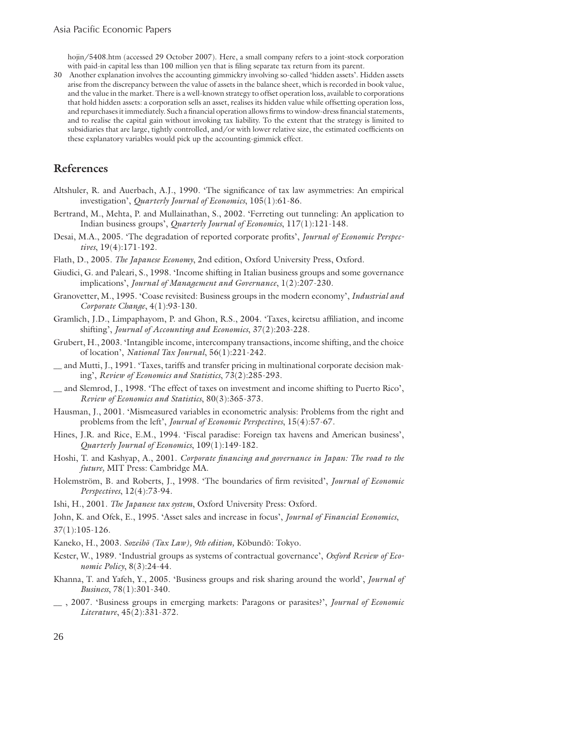hojin/5408.htm (accessed 29 October 2007). Here, a small company refers to a joint-stock corporation with paid-in capital less than 100 million yen that is filing separate tax return from its parent.

30 Another explanation involves the accounting gimmickry involving so-called 'hidden assets'. Hidden assets arise from the discrepancy between the value of assets in the balance sheet, which is recorded in book value, and the value in the market. There is a well-known strategy to offset operation loss, available to corporations that hold hidden assets: a corporation sells an asset, realises its hidden value while offsetting operation loss, and repurchases it immediately. Such a financial operation allows firms to window-dress financial statements, and to realise the capital gain without invoking tax liability. To the extent that the strategy is limited to subsidiaries that are large, tightly controlled, and/or with lower relative size, the estimated coefficients on these explanatory variables would pick up the accounting-gimmick effect.

#### **References**

- Altshuler, R. and Auerbach, A.J., 1990. 'The significance of tax law asymmetries: An empirical investigation', *Quarterly Journal of Economics*, 105(1):61-86.
- Bertrand, M., Mehta, P. and Mullainathan, S., 2002. 'Ferreting out tunneling: An application to Indian business groups', *Quarterly Journal of Economics*, 117(1):121-148.
- Desai, M.A., 2005. 'The degradation of reported corporate profits', *Journal of Economic Perspectives*, 19(4):171-192.
- Flath, D., 2005. *The Japanese Economy*, 2nd edition, Oxford University Press, Oxford.
- Giudici, G. and Paleari, S., 1998. 'Income shifting in Italian business groups and some governance implications', *Journal of Management and Governance*, 1(2):207-230.
- Granovetter, M., 1995. 'Coase revisited: Business groups in the modern economy', *Industrial and Corporate Change*, 4(1):93-130.
- Gramlich, J.D., Limpaphayom, P. and Ghon, R.S., 2004. 'Taxes, keiretsu affiliation, and income shifting', *Journal of Accounting and Economics*, 37(2):203-228.
- Grubert, H., 2003. 'Intangible income, intercompany transactions, income shifting, and the choice of location', *National Tax Journal*, 56(1):221-242.
- \_\_ and Mutti, J., 1991. 'Taxes, tariffs and transfer pricing in multinational corporate decision making', *Review of Economics and Statistics*, 73(2):285-293.
- \_\_ and Slemrod, J., 1998. 'The effect of taxes on investment and income shifting to Puerto Rico', *Review of Economics and Statistics*, 80(3):365-373.
- Hausman, J., 2001. 'Mismeasured variables in econometric analysis: Problems from the right and problems from the left', *Journal of Economic Perspectives*, 15(4):57-67.
- Hines, J.R. and Rice, E.M., 1994. 'Fiscal paradise: Foreign tax havens and American business', *Quarterly Journal of Economics*, 109(1):149-182.
- Hoshi, T. and Kashyap, A., 2001. *Corporate financing and governance in Japan: The road to the future,* MIT Press: Cambridge MA.
- Holemström, B. and Roberts, J., 1998. 'The boundaries of firm revisited', *Journal of Economic Perspectives*, 12(4):73-94.
- Ishi, H., 2001. *The Japanese tax system*, Oxford University Press: Oxford.
- John, K. and Ofek, E., 1995. 'Asset sales and increase in focus', *Journal of Financial Economics*, 37(1):105-126.
- Kaneko, H., 2003. *Sozeihõ (Tax Law), 9th edition,* Kõbundõ: Tokyo.
- Kester, W., 1989. 'Industrial groups as systems of contractual governance', *Oxford Review of Economic Policy*, 8(3):24-44.
- Khanna, T. and Yafeh, Y., 2005. 'Business groups and risk sharing around the world', *Journal of Business*, 78(1):301-340.
- \_\_ , 2007. 'Business groups in emerging markets: Paragons or parasites?', *Journal of Economic Literature*, 45(2):331-372.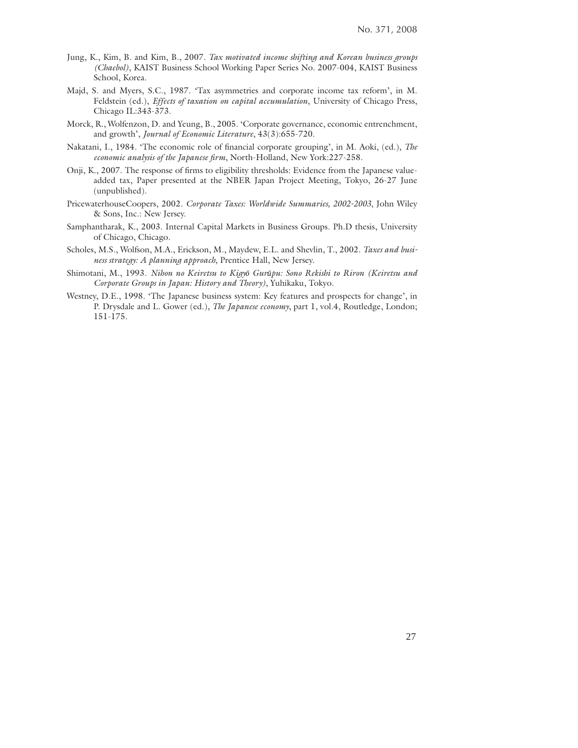- Jung, K., Kim, B. and Kim, B., 2007. *Tax motivated income shifting and Korean business groups (Chaebol)*, KAIST Business School Working Paper Series No. 2007-004, KAIST Business School, Korea.
- Majd, S. and Myers, S.C., 1987. 'Tax asymmetries and corporate income tax reform', in M. Feldstein (ed.), *Effects of taxation on capital accumulation*, University of Chicago Press, Chicago IL:343-373.
- Morck, R., Wolfenzon, D. and Yeung, B., 2005. 'Corporate governance, economic entrenchment, and growth', *Journal of Economic Literature*, 43(3):655-720.
- Nakatani, I., 1984. 'The economic role of financial corporate grouping', in M. Aoki, (ed.), *The economic analysis of the Japanese firm*, North-Holland, New York:227-258.
- Onji, K., 2007. The response of firms to eligibility thresholds: Evidence from the Japanese valueadded tax, Paper presented at the NBER Japan Project Meeting, Tokyo, 26-27 June (unpublished).
- PricewaterhouseCoopers, 2002. *Corporate Taxes: Worldwide Summaries, 2002-2003*, John Wiley & Sons, Inc.: New Jersey.
- Samphantharak, K., 2003. Internal Capital Markets in Business Groups. Ph.D thesis, University of Chicago, Chicago.
- Scholes, M.S., Wolfson, M.A., Erickson, M., Maydew, E.L. and Shevlin, T., 2002. *Taxes and business strategy: A planning approach*, Prentice Hall, New Jersey.
- Shimotani, M., 1993. *Nihon no Keiretsu to Kigyō Gurūpu: Sono Rekishi to Riron (Keiretsu and Corporate Groups in Japan: History and Theory)*, Yuhikaku, Tokyo.
- Westney, D.E., 1998. 'The Japanese business system: Key features and prospects for change', in P. Drysdale and L. Gower (ed.), *The Japanese economy*, part 1, vol.4, Routledge, London; 151-175.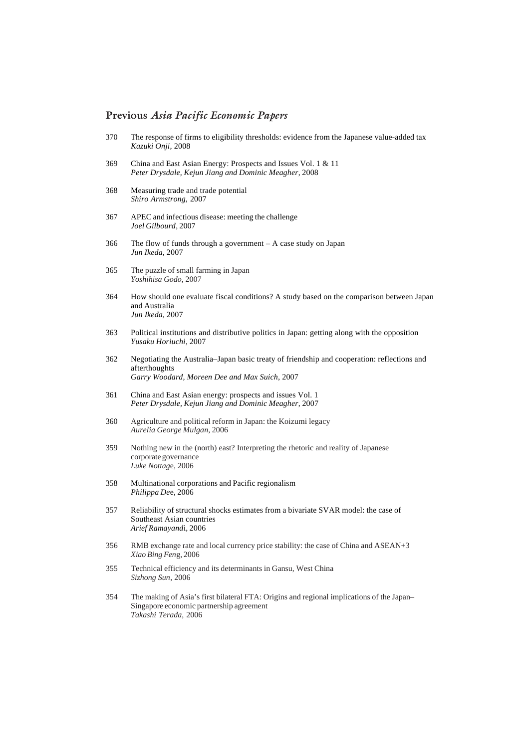#### **Previous** *Asia Pacific Economic Papers*

- 370 The response of firms to eligibility thresholds: evidence from the Japanese value-added tax *Kazuki Onji,* 2008
- 369 China and East Asian Energy: Prospects and Issues Vol. 1 & 11 *Peter Drysdale, Kejun Jiang and Dominic Meagher*, 2008
- 368 Measuring trade and trade potential *Shiro Armstrong,* 2007
- 367 APEC and infectious disease: meeting the challenge *Joel Gilbourd*, 2007
- 366 The flow of funds through a government A case study on Japan *Jun Ikeda*, 2007
- 365 The puzzle of small farming in Japan *Yoshihisa Godo*, 2007
- 364 How should one evaluate fiscal conditions? A study based on the comparison between Japan and Australia *Jun Ikeda*, 2007
- 363 Political institutions and distributive politics in Japan: getting along with the opposition *Yusaku Horiuchi*, 2007
- 362 Negotiating the Australia–Japan basic treaty of friendship and cooperation: reflections and afterthoughts *Garry Woodard, Moreen Dee and Max Suich*, 2007
- 361 China and East Asian energy: prospects and issues Vol. 1 *Peter Drysdale, Kejun Jiang and Dominic Meagher*, 2007
- 360 Agriculture and political reform in Japan: the Koizumi legacy *Aurelia George Mulgan*, 2006
- 359 Nothing new in the (north) east? Interpreting the rhetoric and reality of Japanese corporate governance *Luke Nottag*e, 2006
- 358 Multinational corporations and Pacific regionalism *Philippa De*e, 2006
- 357 Reliability of structural shocks estimates from a bivariate SVAR model: the case of Southeast Asian countries *Arief Ramayand*i, 2006
- 356 RMB exchange rate and local currency price stability: the case of China and ASEAN+3 *Xiao Bing Fen*g, 2006
- 355 Technical efficiency and its determinants in Gansu, West China *Sizhong Sun*, 2006
- 354 The making of Asia's first bilateral FTA: Origins and regional implications of the Japan– Singapore economic partnership agreement *Takashi Terada*, 2006